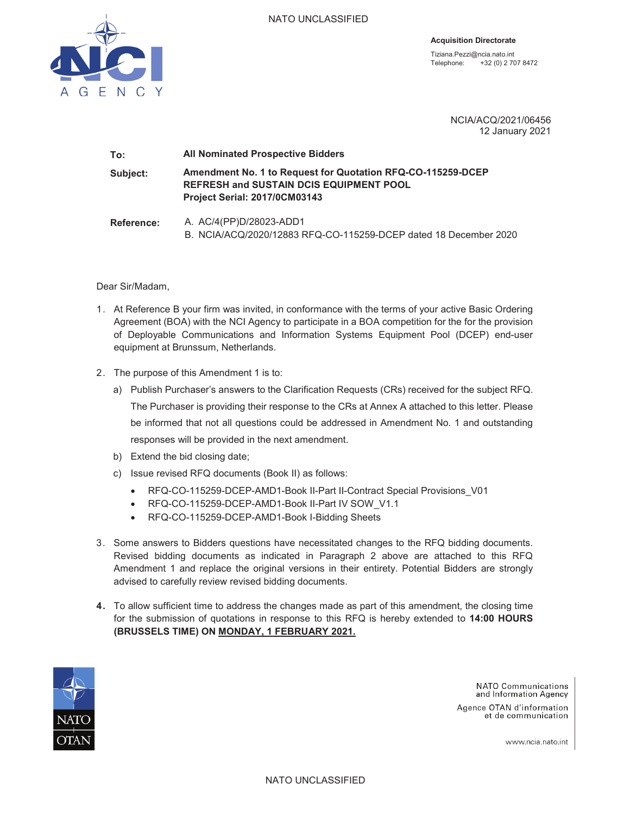

**Acquisition Directorate** 

Tiziana.Pezzi@ncia.nato.int Telephone: +32 (0) 2 707 8472

> NCIA/ACQ/2021/06456 12 January 2021

# **To: All Nominated Prospective Bidders Subject: Amendment No. 1 to Request for Quotation RFQ-CO-115259-DCEP REFRESH and SUSTAIN DCIS EQUIPMENT POOL Project Serial: 2017/0CM03143 Reference:** A. AC/4(PP)D/28023-ADD1

B. NCIA/ACQ/2020/12883 RFQ-CO-115259-DCEP dated 18 December 2020

Dear Sir/Madam,

- 1. At Reference B your firm was invited, in conformance with the terms of your active Basic Ordering Agreement (BOA) with the NCI Agency to participate in a BOA competition for the for the provision of Deployable Communications and Information Systems Equipment Pool (DCEP) end-user equipment at Brunssum, Netherlands.
- 2. The purpose of this Amendment 1 is to:
	- a) Publish Purchaser's answers to the Clarification Requests (CRs) received for the subject RFQ. The Purchaser is providing their response to the CRs at Annex A attached to this letter. Please be informed that not all questions could be addressed in Amendment No. 1 and outstanding responses will be provided in the next amendment.
	- b) Extend the bid closing date;
	- c) Issue revised RFQ documents (Book II) as follows:
		- RFQ-CO-115259-DCEP-AMD1-Book II-Part II-Contract Special Provisions V01
		- RFQ-CO-115259-DCEP-AMD1-Book II-Part IV SOW V1.1
		- RFQ-CO-115259-DCEP-AMD1-Book I-Bidding Sheets
- 3. Some answers to Bidders questions have necessitated changes to the RFQ bidding documents. Revised bidding documents as indicated in Paragraph 2 above are attached to this RFQ Amendment 1 and replace the original versions in their entirety. Potential Bidders are strongly advised to carefully review revised bidding documents.
- **4.** To allow sufficient time to address the changes made as part of this amendment, the closing time for the submission of quotations in response to this RFQ is hereby extended to **14:00 HOURS (BRUSSELS TIME) ON MONDAY, 1 FEBRUARY 2021.**



**NATO Communications** and Information Agency

Agence OTAN d'information et de communication

www.ncia.nato.int

NATO UNCLASSIFIED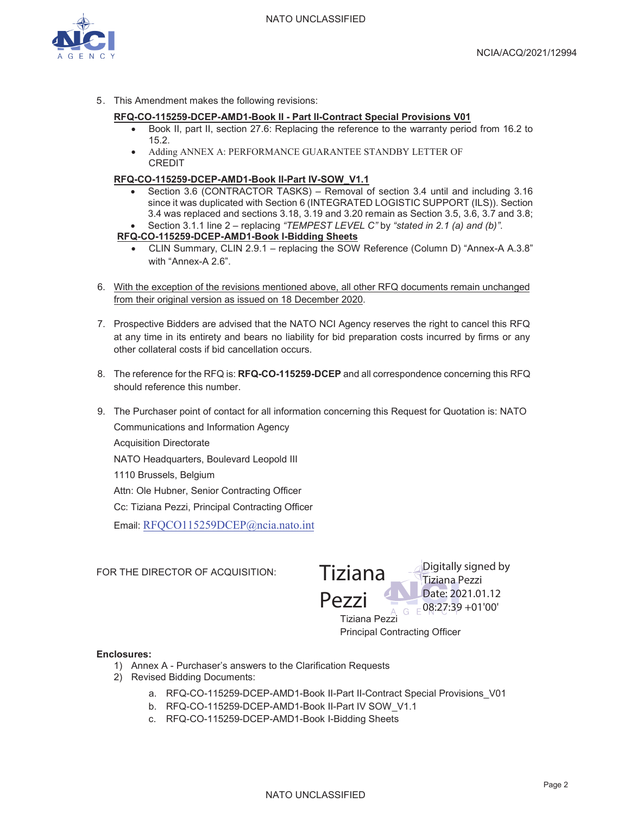

5. This Amendment makes the following revisions:

#### **RFQ-CO-115259-DCEP-AMD1-Book II - Part II-Contract Special Provisions V01**

- Book II, part II, section 27.6: Replacing the reference to the warranty period from 16.2 to 15.2.
- Adding ANNEX A: PERFORMANCE GUARANTEE STANDBY LETTER OF CREDIT

#### **RFQ-CO-115259-DCEP-AMD1-Book II-Part IV-SOW\_V1.1**

Section 3.6 (CONTRACTOR TASKS) – Removal of section 3.4 until and including 3.16 since it was duplicated with Section 6 (INTEGRATED LOGISTIC SUPPORT (ILS)). Section 3.4 was replaced and sections 3.18, 3.19 and 3.20 remain as Section 3.5, 3.6, 3.7 and 3.8; x Section 3.1.1 line 2 – replacing *"TEMPEST LEVEL C"* by *"stated in 2.1 (a) and (b)"*.

#### **RFQ-CO-115259-DCEP-AMD1-Book I-Bidding Sheets**

- x CLIN Summary, CLIN 2.9.1 replacing the SOW Reference (Column D) "Annex-A A.3.8" with "Annex-A 2.6".
- 6. With the exception of the revisions mentioned above, all other RFQ documents remain unchanged from their original version as issued on 18 December 2020.
- 7. Prospective Bidders are advised that the NATO NCI Agency reserves the right to cancel this RFQ at any time in its entirety and bears no liability for bid preparation costs incurred by firms or any other collateral costs if bid cancellation occurs.
- 8. The reference for the RFQ is: **RFQ-CO-115259-DCEP** and all correspondence concerning this RFQ should reference this number.
- 9. The Purchaser point of contact for all information concerning this Request for Quotation is: NATO Communications and Information Agency Acquisition Directorate

NATO Headquarters, Boulevard Leopold III

1110 Brussels, Belgium

Attn: Ole Hubner, Senior Contracting Officer

Cc: Tiziana Pezzi, Principal Contracting Officer

Email: RFQCO115259DCEP@ncia.nato.int

FOR THE DIRECTOR OF ACQUISITION:

Tiziana Pezzi Principal Contracting Officer Tiziana Pezzi Digitally signed by Tiziana Pezzi Date: 2021.01.12  $G = 08:27:39 + 01'00'$ 

#### **Enclosures:**

- 1) Annex A Purchaser's answers to the Clarification Requests
- 2) Revised Bidding Documents:
	- a. RFQ-CO-115259-DCEP-AMD1-Book II-Part II-Contract Special Provisions\_V01
	- b. RFQ-CO-115259-DCEP-AMD1-Book II-Part IV SOW\_V1.1
	- c. RFQ-CO-115259-DCEP-AMD1-Book I-Bidding Sheets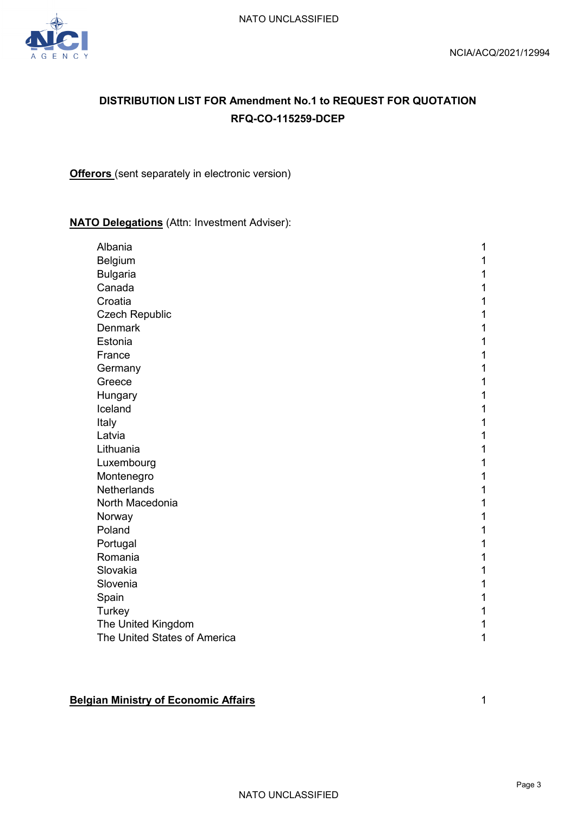

# **DISTRIBUTION LIST FOR Amendment No.1 to REQUEST FOR QUOTATION RFQ-CO-115259-DCEP**

**Offerors** (sent separately in electronic version)

# **NATO Delegations** (Attn: Investment Adviser):

| Albania                      | 1 |
|------------------------------|---|
| Belgium                      | 1 |
| <b>Bulgaria</b>              | 1 |
| Canada                       | 1 |
| Croatia                      | 1 |
| <b>Czech Republic</b>        | 1 |
| <b>Denmark</b>               | 1 |
| Estonia                      | 1 |
| France                       | 1 |
| Germany                      | 1 |
| Greece                       | 1 |
| Hungary                      | 1 |
| Iceland                      | 1 |
| Italy                        | 1 |
| Latvia                       | 1 |
| Lithuania                    | 1 |
| Luxembourg                   | 1 |
| Montenegro                   | 1 |
| Netherlands                  | 1 |
| North Macedonia              | 1 |
| Norway                       | 1 |
| Poland                       | 1 |
| Portugal                     | 1 |
| Romania                      | 1 |
| Slovakia                     | 1 |
| Slovenia                     | 1 |
| Spain                        | 1 |
| Turkey                       | 1 |
| The United Kingdom           | 1 |
| The United States of America | 1 |

# **Belgian Ministry of Economic Affairs** 1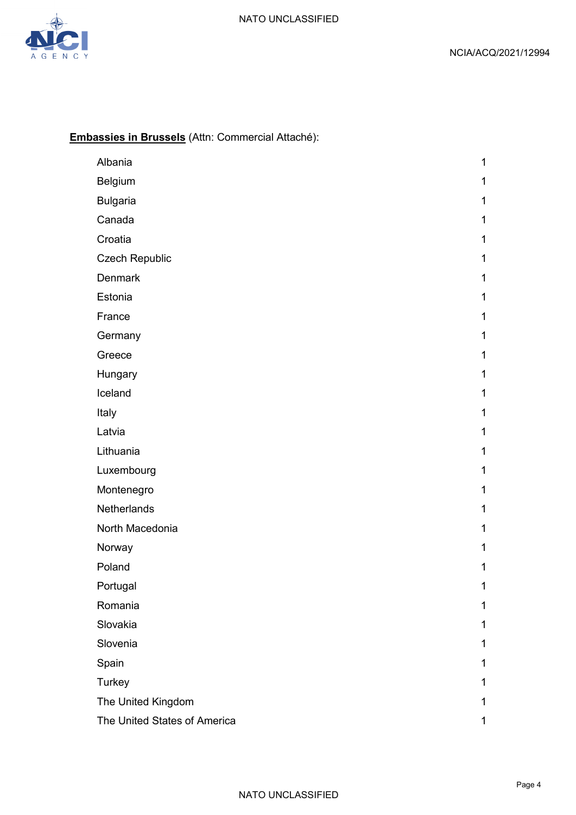

# **Embassies in Brussels** (Attn: Commercial Attaché):

| Albania                      | 1            |
|------------------------------|--------------|
| Belgium                      | 1            |
| <b>Bulgaria</b>              | 1            |
| Canada                       | 1            |
| Croatia                      | 1            |
| <b>Czech Republic</b>        | 1            |
| <b>Denmark</b>               | 1            |
| Estonia                      | 1            |
| France                       | 1            |
| Germany                      | $\mathbf{1}$ |
| Greece                       | 1            |
| Hungary                      | 1            |
| Iceland                      | $\mathbf{1}$ |
| Italy                        | 1            |
| Latvia                       | 1            |
| Lithuania                    | $\mathbf{1}$ |
| Luxembourg                   | 1            |
| Montenegro                   | 1            |
| Netherlands                  | $\mathbf 1$  |
| North Macedonia              | $\mathbf 1$  |
| Norway                       | 1            |
| Poland                       | 1            |
| Portugal                     | 1            |
| Romania                      | 1            |
| Slovakia                     | 1            |
| Slovenia                     | 1            |
| Spain                        | 1            |
| Turkey                       | 1            |
| The United Kingdom           | 1            |
| The United States of America | 1            |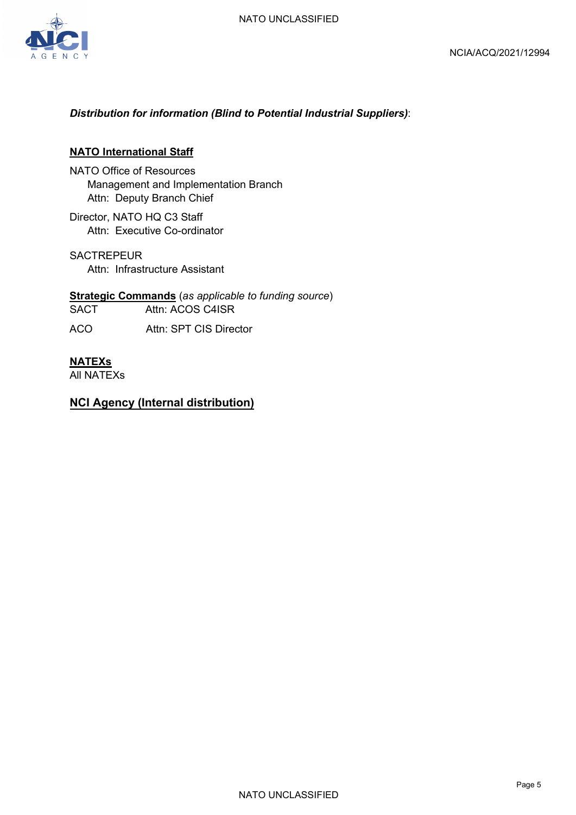

### *Distribution for information (Blind to Potential Industrial Suppliers)*:

#### **NATO International Staff**

- NATO Office of Resources Management and Implementation Branch Attn: Deputy Branch Chief
- Director, NATO HQ C3 Staff Attn: Executive Co-ordinator

**SACTREPEUR** Attn: Infrastructure Assistant

**Strategic Commands** (*as applicable to funding source*) SACT Attn: ACOS C4ISR ACO Attn: SPT CIS Director

#### **NATEXs**

All NATEXs

# **NCI Agency (Internal distribution)**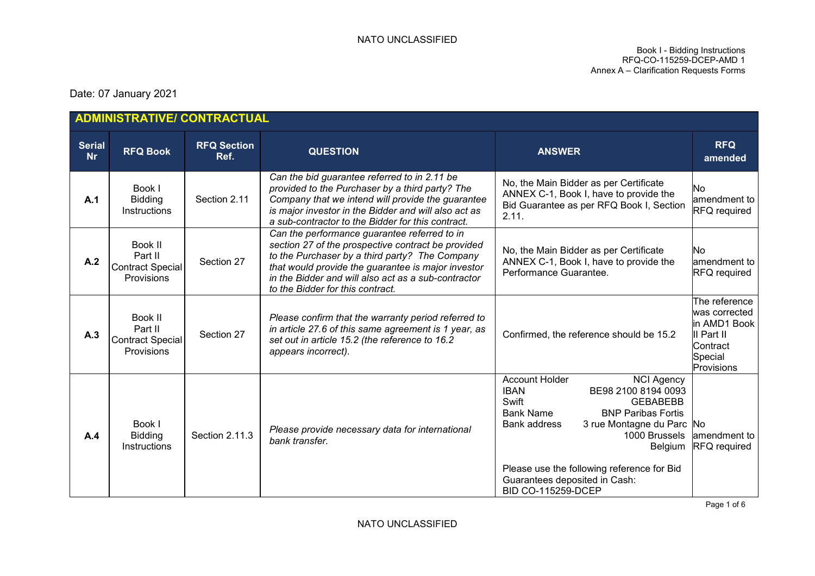Book I - Bidding Instructions RFQ-CO-115259-DCEP-AMD 1 Annex A – Clarification Requests Forms

Date: 07 January 2021

|                            | ADMINISTRATIVE/ CONTRACTUAL                                 |                            |                                                                                                                                                                                                                                                                                                       |                                                                                                                                                                                                                                                                                                                                                    |                                                                                                   |
|----------------------------|-------------------------------------------------------------|----------------------------|-------------------------------------------------------------------------------------------------------------------------------------------------------------------------------------------------------------------------------------------------------------------------------------------------------|----------------------------------------------------------------------------------------------------------------------------------------------------------------------------------------------------------------------------------------------------------------------------------------------------------------------------------------------------|---------------------------------------------------------------------------------------------------|
| <b>Serial</b><br><b>Nr</b> | <b>RFQ Book</b>                                             | <b>RFQ Section</b><br>Ref. | <b>QUESTION</b>                                                                                                                                                                                                                                                                                       | <b>ANSWER</b>                                                                                                                                                                                                                                                                                                                                      | <b>RFQ</b><br>amended                                                                             |
| A.1                        | Book I<br><b>Bidding</b><br>Instructions                    | Section 2.11               | Can the bid guarantee referred to in 2.11 be<br>provided to the Purchaser by a third party? The<br>Company that we intend will provide the guarantee<br>is major investor in the Bidder and will also act as<br>a sub-contractor to the Bidder for this contract.                                     | No, the Main Bidder as per Certificate<br>ANNEX C-1, Book I, have to provide the<br>Bid Guarantee as per RFQ Book I, Section<br>2.11.                                                                                                                                                                                                              | No<br>amendment to<br><b>RFQ</b> required                                                         |
| A.2                        | Book II<br>Part II<br><b>Contract Special</b><br>Provisions | Section 27                 | Can the performance guarantee referred to in<br>section 27 of the prospective contract be provided<br>to the Purchaser by a third party? The Company<br>that would provide the guarantee is major investor<br>in the Bidder and will also act as a sub-contractor<br>to the Bidder for this contract. | No, the Main Bidder as per Certificate<br>ANNEX C-1, Book I, have to provide the<br>Performance Guarantee.                                                                                                                                                                                                                                         | <b>No</b><br>amendment to<br><b>RFQ</b> required                                                  |
| A.3                        | Book II<br>Part II<br><b>Contract Special</b><br>Provisions | Section 27                 | Please confirm that the warranty period referred to<br>in article 27.6 of this same agreement is 1 year, as<br>set out in article 15.2 (the reference to 16.2<br>appears incorrect).                                                                                                                  | Confirmed, the reference should be 15.2                                                                                                                                                                                                                                                                                                            | The reference<br>was corrected<br>in AMD1 Book<br>II Part II<br>Contract<br>Special<br>Provisions |
| A.4                        | Book I<br><b>Bidding</b><br>Instructions                    | Section 2.11.3             | Please provide necessary data for international<br>bank transfer.                                                                                                                                                                                                                                     | <b>Account Holder</b><br><b>NCI Agency</b><br>BE98 2100 8194 0093<br><b>IBAN</b><br>Swift<br><b>GEBABEBB</b><br><b>Bank Name</b><br><b>BNP Paribas Fortis</b><br>Bank address<br>3 rue Montagne du Parc No<br>1000 Brussels<br>Belgium<br>Please use the following reference for Bid<br>Guarantees deposited in Cash:<br><b>BID CO-115259-DCEP</b> | amendment to<br><b>RFQ</b> required                                                               |

Page 1 of 6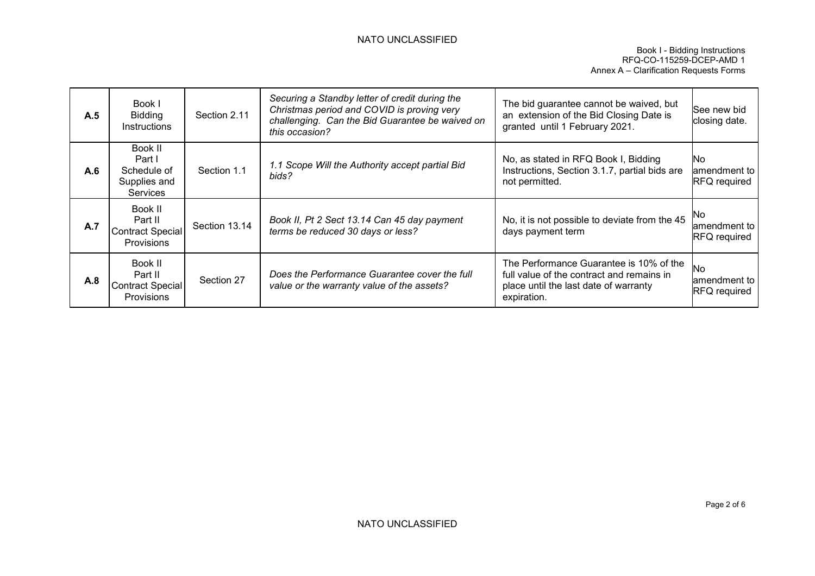#### NATO UNCLASSIFIED

| A.5 | Book I<br><b>Bidding</b><br>Instructions                            | Section 2.11  | Securing a Standby letter of credit during the<br>Christmas period and COVID is proving very<br>challenging. Can the Bid Guarantee be waived on<br>this occasion? | The bid guarantee cannot be waived, but<br>an extension of the Bid Closing Date is<br>granted until 1 February 2021.                         | See new bid<br>closing date.                       |
|-----|---------------------------------------------------------------------|---------------|-------------------------------------------------------------------------------------------------------------------------------------------------------------------|----------------------------------------------------------------------------------------------------------------------------------------------|----------------------------------------------------|
| A.6 | Book II<br>Part I<br>Schedule of<br>Supplies and<br><b>Services</b> | Section 1.1   | 1.1 Scope Will the Authority accept partial Bid<br>bids?                                                                                                          | No, as stated in RFQ Book I, Bidding<br>Instructions, Section 3.1.7, partial bids are<br>not permitted.                                      | <b>No</b><br>amendment to l<br><b>RFQ</b> required |
| A.7 | Book II<br>Part II<br><b>Contract Special</b><br><b>Provisions</b>  | Section 13.14 | Book II, Pt 2 Sect 13.14 Can 45 day payment<br>terms be reduced 30 days or less?                                                                                  | No, it is not possible to deviate from the 45<br>days payment term                                                                           | No<br>amendment to<br><b>RFQ</b> required          |
| A.8 | Book II<br>Part II<br><b>Contract Special</b><br>Provisions         | Section 27    | Does the Performance Guarantee cover the full<br>value or the warranty value of the assets?                                                                       | The Performance Guarantee is 10% of the<br>full value of the contract and remains in<br>place until the last date of warranty<br>expiration. | No<br>amendment to<br><b>RFQ</b> required          |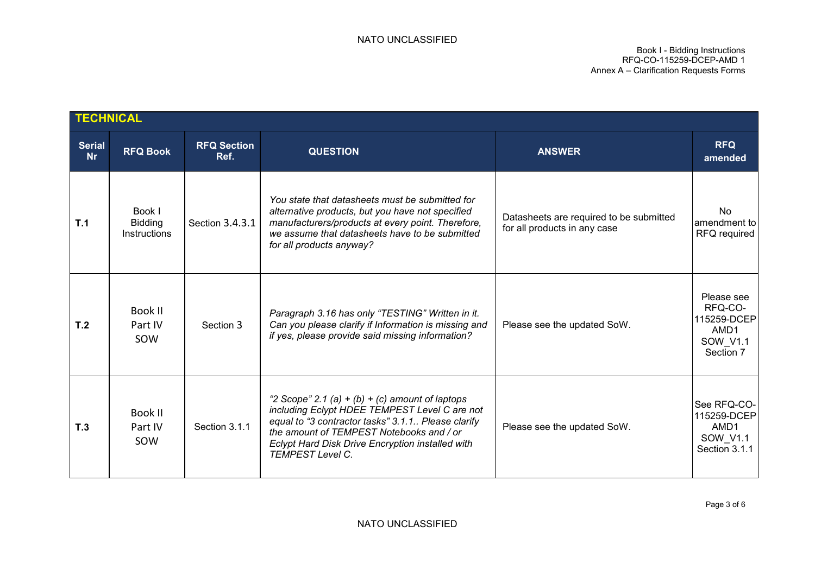Book I - Bidding Instructions RFQ-CO-115259-DCEP-AMD 1 Annex A – Clarification Requests Forms

|                            | <b>TECHNICAL</b>                                |                            |                                                                                                                                                                                                                                                                                   |                                                                         |                                                                       |
|----------------------------|-------------------------------------------------|----------------------------|-----------------------------------------------------------------------------------------------------------------------------------------------------------------------------------------------------------------------------------------------------------------------------------|-------------------------------------------------------------------------|-----------------------------------------------------------------------|
| <b>Serial</b><br><b>Nr</b> | <b>RFQ Book</b>                                 | <b>RFQ Section</b><br>Ref. | <b>QUESTION</b>                                                                                                                                                                                                                                                                   | <b>ANSWER</b>                                                           | <b>RFQ</b><br>amended                                                 |
| T.1                        | Book I<br><b>Bidding</b><br><b>Instructions</b> | Section 3.4.3.1            | You state that datasheets must be submitted for<br>alternative products, but you have not specified<br>manufacturers/products at every point. Therefore,<br>we assume that datasheets have to be submitted<br>for all products anyway?                                            | Datasheets are required to be submitted<br>for all products in any case | No<br>amendment to<br><b>RFQ</b> required                             |
| T <sub>.2</sub>            | Book II<br>Part IV<br>SOW                       | Section 3                  | Paragraph 3.16 has only "TESTING" Written in it.<br>Can you please clarify if Information is missing and<br>if yes, please provide said missing information?                                                                                                                      | Please see the updated SoW.                                             | Please see<br>RFQ-CO-<br>115259-DCEP<br>AMD1<br>SOW V1.1<br>Section 7 |
| T <sub>.3</sub>            | Book II<br>Part IV<br>SOW                       | Section 3.1.1              | "2 Scope" 2.1 (a) + (b) + (c) amount of laptops<br>including Eclypt HDEE TEMPEST Level C are not<br>equal to "3 contractor tasks" 3.1.1 Please clarify<br>the amount of TEMPEST Notebooks and / or<br>Eclypt Hard Disk Drive Encryption installed with<br><b>TEMPEST Level C.</b> | Please see the updated SoW.                                             | See RFQ-CO-<br>115259-DCEP<br>AMD1<br>SOW V1.1<br>Section 3.1.1       |

NATO UNCLASSIFIED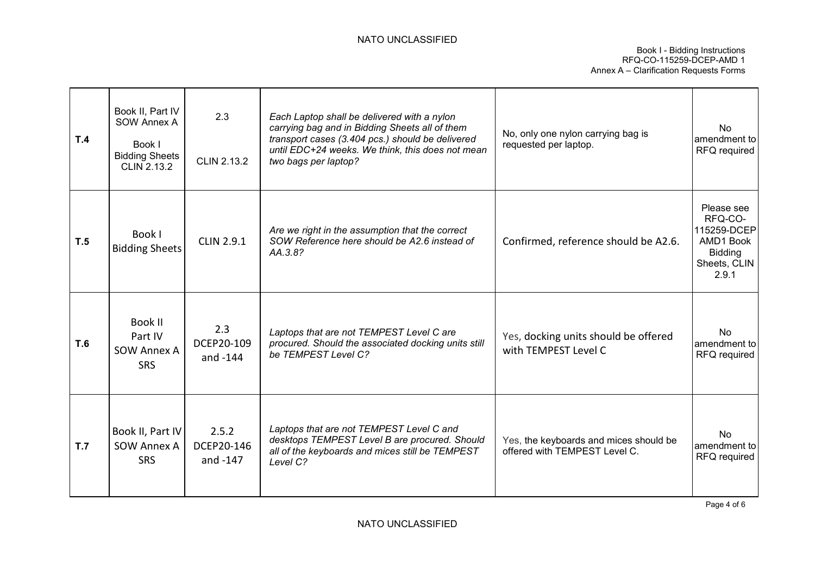#### NATO UNCLASSIFIED

| T.4        | Book II, Part IV<br>SOW Annex A<br>Book I<br><b>Bidding Sheets</b><br><b>CLIN 2.13.2</b> | 2.3<br><b>CLIN 2.13.2</b>       | Each Laptop shall be delivered with a nylon<br>carrying bag and in Bidding Sheets all of them<br>transport cases (3.404 pcs.) should be delivered<br>until EDC+24 weeks. We think, this does not mean<br>two bags per laptop? | No, only one nylon carrying bag is<br>requested per laptop.             | No.<br>amendment to<br>RFQ required                                                          |
|------------|------------------------------------------------------------------------------------------|---------------------------------|-------------------------------------------------------------------------------------------------------------------------------------------------------------------------------------------------------------------------------|-------------------------------------------------------------------------|----------------------------------------------------------------------------------------------|
| T.5        | Book I<br><b>Bidding Sheets</b>                                                          | <b>CLIN 2.9.1</b>               | Are we right in the assumption that the correct<br>SOW Reference here should be A2.6 instead of<br>AA.3.8?                                                                                                                    | Confirmed, reference should be A2.6.                                    | Please see<br>RFQ-CO-<br>115259-DCEP<br>AMD1 Book<br><b>Bidding</b><br>Sheets, CLIN<br>2.9.1 |
| <b>T.6</b> | Book II<br>Part IV<br><b>SOW Annex A</b><br><b>SRS</b>                                   | 2.3<br>DCEP20-109<br>and -144   | Laptops that are not TEMPEST Level C are<br>procured. Should the associated docking units still<br>be TEMPEST Level C?                                                                                                        | Yes, docking units should be offered<br>with TEMPEST Level C            | N <sub>o</sub><br>amendment to<br>RFQ required                                               |
| T.7        | Book II, Part IV<br>SOW Annex A<br><b>SRS</b>                                            | 2.5.2<br>DCEP20-146<br>and -147 | Laptops that are not TEMPEST Level C and<br>desktops TEMPEST Level B are procured. Should<br>all of the keyboards and mices still be TEMPEST<br>Level C?                                                                      | Yes, the keyboards and mices should be<br>offered with TEMPEST Level C. | <b>No</b><br>amendment to<br>RFQ required                                                    |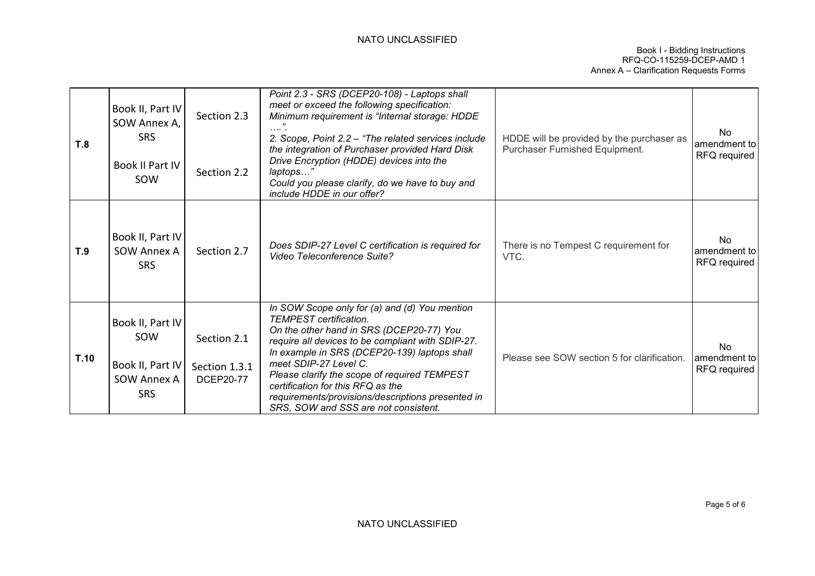#### NATO UNCLASSIFIED

| T.8  | Book II, Part IV<br>SOW Annex A,<br><b>SRS</b><br>Book II Part IV<br>SOW | Section 2.3<br>Section 2.2                       | Point 2.3 - SRS (DCEP20-108) - Laptops shall<br>meet or exceed the following specification:<br>Minimum requirement is "Internal storage: HDDE<br>2. Scope, Point 2.2 - "The related services include<br>the integration of Purchaser provided Hard Disk<br>Drive Encryption (HDDE) devices into the<br>laptops"<br>Could you please clarify, do we have to buy and<br>include HDDE in our offer?                                           | HDDE will be provided by the purchaser as<br>Purchaser Furnished Equipment. | <b>No</b><br>amendment to<br>RFQ required |
|------|--------------------------------------------------------------------------|--------------------------------------------------|--------------------------------------------------------------------------------------------------------------------------------------------------------------------------------------------------------------------------------------------------------------------------------------------------------------------------------------------------------------------------------------------------------------------------------------------|-----------------------------------------------------------------------------|-------------------------------------------|
| T.9  | Book II, Part IV<br><b>SOW Annex A</b><br><b>SRS</b>                     | Section 2.7                                      | Does SDIP-27 Level C certification is required for<br>Video Teleconference Suite?                                                                                                                                                                                                                                                                                                                                                          | There is no Tempest C requirement for<br>VTC.                               | <b>No</b><br>amendment to<br>RFQ required |
| T.10 | Book II, Part IV<br>SOW<br>Book II, Part IV<br>SOW Annex A<br><b>SRS</b> | Section 2.1<br>Section 1.3.1<br><b>DCEP20-77</b> | In SOW Scope only for (a) and (d) You mention<br><b>TEMPEST</b> certification.<br>On the other hand in SRS (DCEP20-77) You<br>require all devices to be compliant with SDIP-27.<br>In example in SRS (DCEP20-139) laptops shall<br>meet SDIP-27 Level C.<br>Please clarify the scope of required TEMPEST<br>certification for this RFQ as the<br>requirements/provisions/descriptions presented in<br>SRS, SOW and SSS are not consistent. | Please see SOW section 5 for clarification.                                 | No<br>amendment to<br>RFQ required        |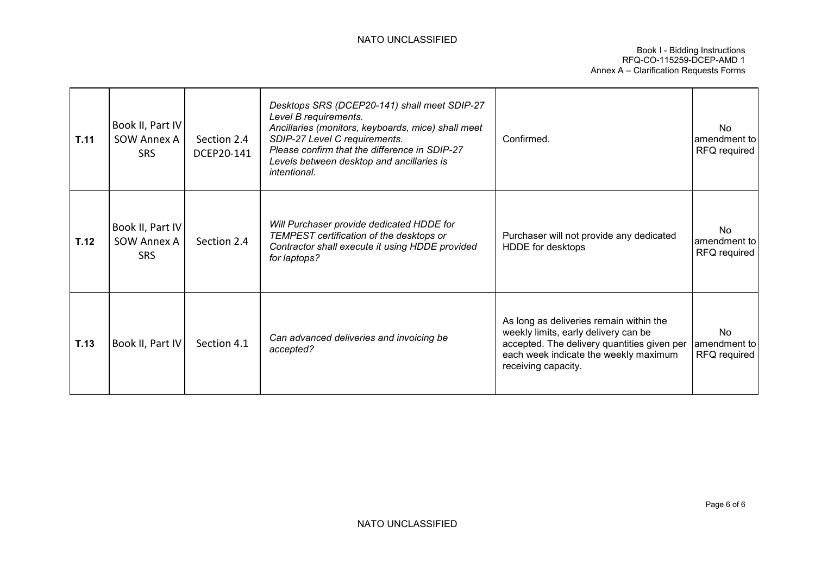| T.11 | Book II, Part IV<br>SOW Annex A<br>SRS.       | Section 2.4<br>DCEP20-141 | Desktops SRS (DCEP20-141) shall meet SDIP-27<br>Level B requirements.<br>Ancillaries (monitors, keyboards, mice) shall meet<br>SDIP-27 Level C requirements.<br>Please confirm that the difference in SDIP-27<br>Levels between desktop and ancillaries is<br><i>intentional.</i> | Confirmed.                                                                                                                                                                                     | No.<br>amendment to<br>RFQ required       |
|------|-----------------------------------------------|---------------------------|-----------------------------------------------------------------------------------------------------------------------------------------------------------------------------------------------------------------------------------------------------------------------------------|------------------------------------------------------------------------------------------------------------------------------------------------------------------------------------------------|-------------------------------------------|
| T.12 | Book II, Part IV<br>SOW Annex A<br><b>SRS</b> | Section 2.4               | Will Purchaser provide dedicated HDDE for<br>TEMPEST certification of the desktops or<br>Contractor shall execute it using HDDE provided<br>for laptops?                                                                                                                          | Purchaser will not provide any dedicated<br>HDDE for desktops                                                                                                                                  | <b>No</b><br>amendment to<br>RFQ required |
| T.13 | Book II, Part IV                              | Section 4.1               | Can advanced deliveries and invoicing be<br>accepted?                                                                                                                                                                                                                             | As long as deliveries remain within the<br>weekly limits, early delivery can be<br>accepted. The delivery quantities given per<br>each week indicate the weekly maximum<br>receiving capacity. | No.<br>amendment to<br>RFQ required       |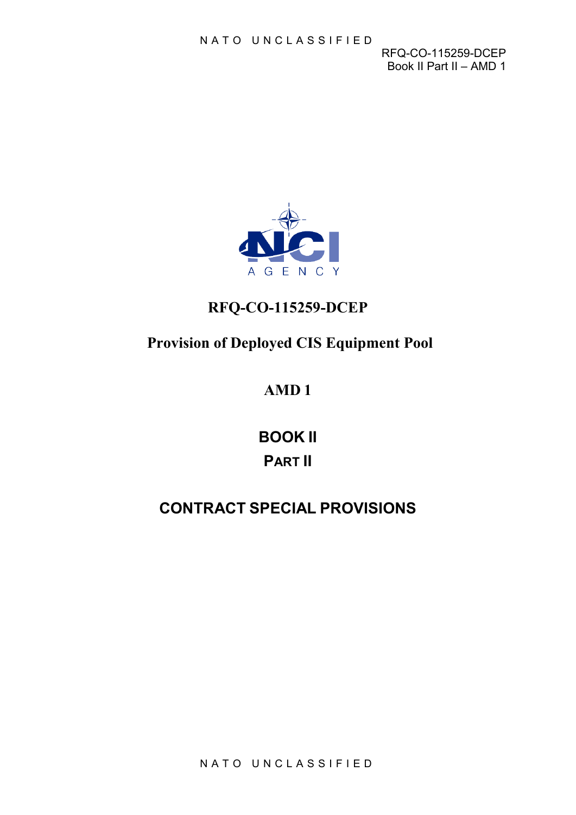RFQ-CO-115259-DCEP Book II Part II – AMD 1



# **RFQ-CO-115259-DCEP**

# **Provision of Deployed CIS Equipment Pool**

# **AMD 1**

**BOOK II PART II**

# **CONTRACT SPECIAL PROVISIONS**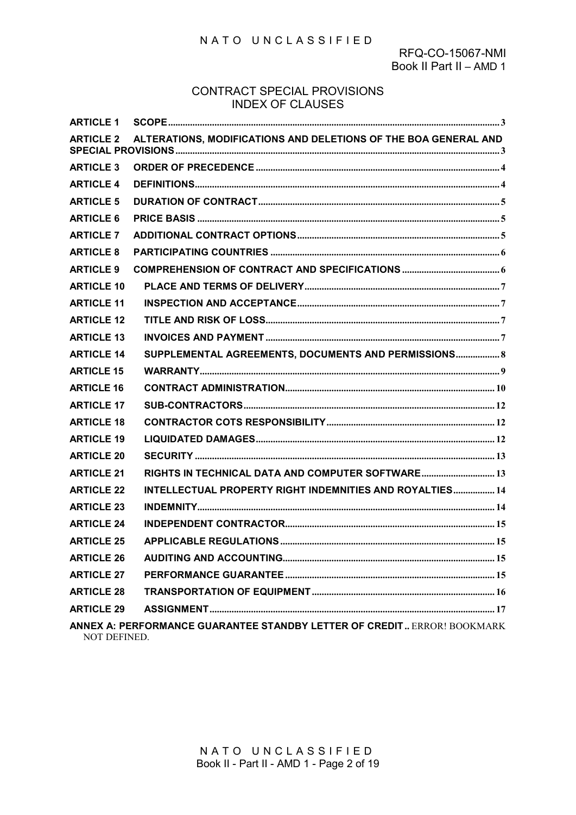#### NATO UNCLASSIFIED

#### CONTRACT SPECIAL PROVISIONS INDEX OF CLAUSES

| <b>ARTICLE 1</b>  |                                                                                |  |
|-------------------|--------------------------------------------------------------------------------|--|
| <b>ARTICLE 2</b>  | ALTERATIONS, MODIFICATIONS AND DELETIONS OF THE BOA GENERAL AND                |  |
| <b>ARTICLE 3</b>  |                                                                                |  |
| <b>ARTICLE 4</b>  |                                                                                |  |
| <b>ARTICLE 5</b>  |                                                                                |  |
| <b>ARTICLE 6</b>  |                                                                                |  |
| <b>ARTICLE 7</b>  |                                                                                |  |
| <b>ARTICLE 8</b>  |                                                                                |  |
| <b>ARTICLE 9</b>  |                                                                                |  |
| <b>ARTICLE 10</b> |                                                                                |  |
| <b>ARTICLE 11</b> |                                                                                |  |
| <b>ARTICLE 12</b> |                                                                                |  |
| <b>ARTICLE 13</b> |                                                                                |  |
| <b>ARTICLE 14</b> | SUPPLEMENTAL AGREEMENTS, DOCUMENTS AND PERMISSIONS 8                           |  |
| <b>ARTICLE 15</b> |                                                                                |  |
| <b>ARTICLE 16</b> |                                                                                |  |
| <b>ARTICLE 17</b> |                                                                                |  |
| <b>ARTICLE 18</b> |                                                                                |  |
| <b>ARTICLE 19</b> |                                                                                |  |
| <b>ARTICLE 20</b> |                                                                                |  |
| <b>ARTICLE 21</b> | RIGHTS IN TECHNICAL DATA AND COMPUTER SOFTWARE 13                              |  |
| <b>ARTICLE 22</b> | INTELLECTUAL PROPERTY RIGHT INDEMNITIES AND ROYALTIES 14                       |  |
| <b>ARTICLE 23</b> |                                                                                |  |
| <b>ARTICLE 24</b> |                                                                                |  |
| <b>ARTICLE 25</b> |                                                                                |  |
| <b>ARTICLE 26</b> |                                                                                |  |
| <b>ARTICLE 27</b> |                                                                                |  |
| <b>ARTICLE 28</b> |                                                                                |  |
| <b>ARTICLE 29</b> |                                                                                |  |
| NOT DEFINED.      | <b>ANNEX A: PERFORMANCE GUARANTEE STANDBY LETTER OF CREDIT ERROR! BOOKMARK</b> |  |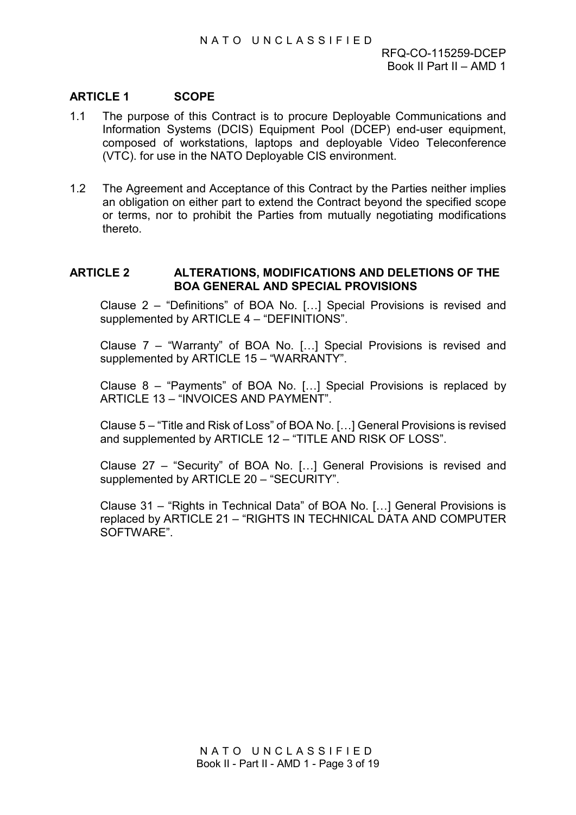# <span id="page-13-0"></span>**ARTICLE 1 SCOPE**

- 1.1 The purpose of this Contract is to procure Deployable Communications and Information Systems (DCIS) Equipment Pool (DCEP) end-user equipment, composed of workstations, laptops and deployable Video Teleconference (VTC). for use in the NATO Deployable CIS environment.
- 1.2 The Agreement and Acceptance of this Contract by the Parties neither implies an obligation on either part to extend the Contract beyond the specified scope or terms, nor to prohibit the Parties from mutually negotiating modifications thereto.

#### <span id="page-13-1"></span>**ARTICLE 2 ALTERATIONS, MODIFICATIONS AND DELETIONS OF THE BOA GENERAL AND SPECIAL PROVISIONS**

Clause 2 – "Definitions" of BOA No. […] Special Provisions is revised and supplemented by ARTICLE 4 – "DEFINITIONS".

Clause 7 – "Warranty" of BOA No. […] Special Provisions is revised and supplemented by ARTICLE 15 - "WARRANTY".

Clause 8 – "Payments" of BOA No. […] Special Provisions is replaced by ARTICLE 13 – "INVOICES AND PAYMENT".

Clause 5 – "Title and Risk of Loss" of BOA No. […] General Provisions is revised and supplemented by ARTICLE 12 – "TITLE AND RISK OF LOSS".

Clause 27 – "Security" of BOA No. […] General Provisions is revised and supplemented by ARTICLE 20 – "SECURITY".

Clause 31 – "Rights in Technical Data" of BOA No. […] General Provisions is replaced by ARTICLE 21 – "RIGHTS IN TECHNICAL DATA AND COMPUTER SOFTWARE".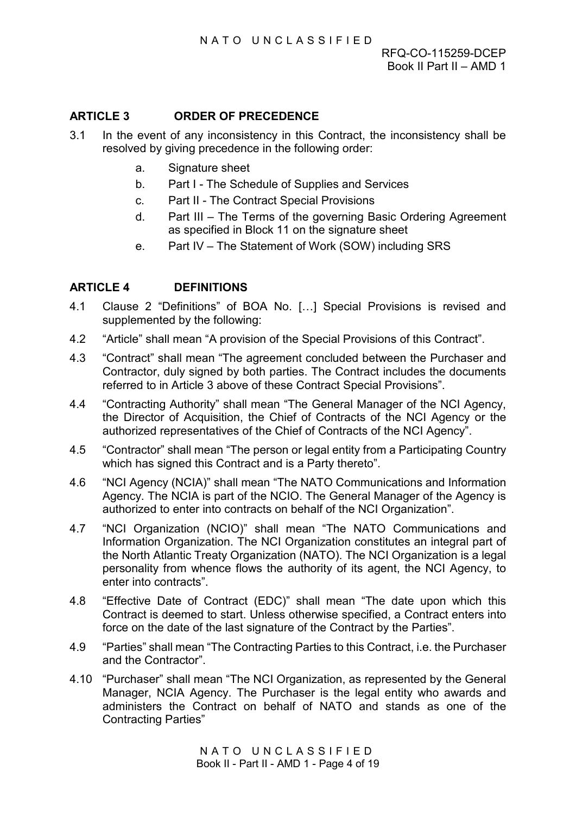# <span id="page-14-0"></span>**ARTICLE 3 ORDER OF PRECEDENCE**

- 3.1 In the event of any inconsistency in this Contract, the inconsistency shall be resolved by giving precedence in the following order:
	- a. Signature sheet
	- b. Part I The Schedule of Supplies and Services
	- c. Part II The Contract Special Provisions
	- d. Part III The Terms of the governing Basic Ordering Agreement as specified in Block 11 on the signature sheet
	- e. Part IV The Statement of Work (SOW) including SRS

# <span id="page-14-1"></span>**ARTICLE 4 DEFINITIONS**

- 4.1 Clause 2 "Definitions" of BOA No. […] Special Provisions is revised and supplemented by the following:
- 4.2 "Article" shall mean "A provision of the Special Provisions of this Contract".
- 4.3 "Contract" shall mean "The agreement concluded between the Purchaser and Contractor, duly signed by both parties. The Contract includes the documents referred to in Article 3 above of these Contract Special Provisions".
- 4.4 "Contracting Authority" shall mean "The General Manager of the NCI Agency, the Director of Acquisition, the Chief of Contracts of the NCI Agency or the authorized representatives of the Chief of Contracts of the NCI Agency".
- 4.5 "Contractor" shall mean "The person or legal entity from a Participating Country which has signed this Contract and is a Party thereto".
- 4.6 "NCI Agency (NCIA)" shall mean "The NATO Communications and Information Agency. The NCIA is part of the NCIO. The General Manager of the Agency is authorized to enter into contracts on behalf of the NCI Organization".
- 4.7 "NCI Organization (NCIO)" shall mean "The NATO Communications and Information Organization. The NCI Organization constitutes an integral part of the North Atlantic Treaty Organization (NATO). The NCI Organization is a legal personality from whence flows the authority of its agent, the NCI Agency, to enter into contracts".
- 4.8 "Effective Date of Contract (EDC)" shall mean "The date upon which this Contract is deemed to start. Unless otherwise specified, a Contract enters into force on the date of the last signature of the Contract by the Parties".
- 4.9 "Parties" shall mean "The Contracting Parties to this Contract, i.e. the Purchaser and the Contractor".
- 4.10 "Purchaser" shall mean "The NCI Organization, as represented by the General Manager, NCIA Agency. The Purchaser is the legal entity who awards and administers the Contract on behalf of NATO and stands as one of the Contracting Parties"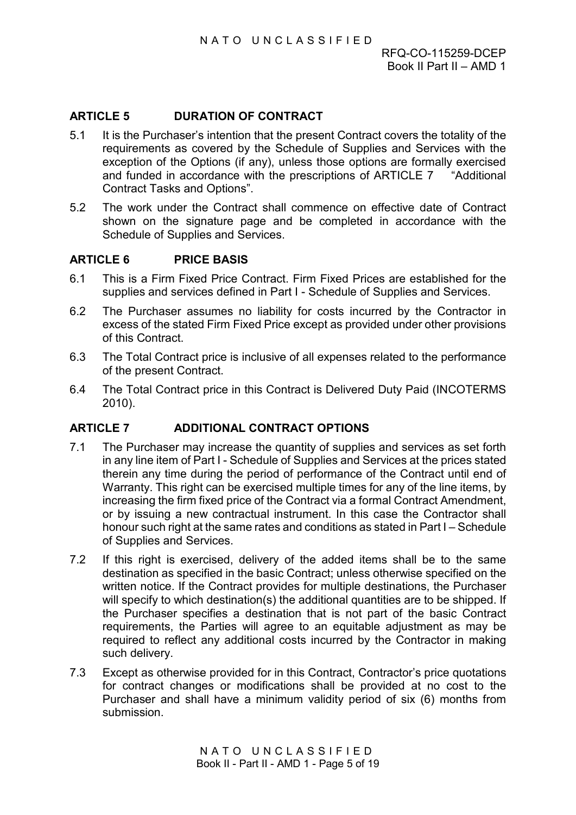# <span id="page-15-0"></span>**ARTICLE 5 DURATION OF CONTRACT**

- 5.1 It is the Purchaser's intention that the present Contract covers the totality of the requirements as covered by the Schedule of Supplies and Services with the exception of the Options (if any), unless those options are formally exercised and funded in accordance with the prescriptions of [ARTICLE 7 "](#page-15-2)Additional Contract Tasks and Options".
- 5.2 The work under the Contract shall commence on effective date of Contract shown on the signature page and be completed in accordance with the Schedule of Supplies and Services.

#### <span id="page-15-1"></span>**ARTICLE 6 PRICE BASIS**

- 6.1 This is a Firm Fixed Price Contract. Firm Fixed Prices are established for the supplies and services defined in Part I - Schedule of Supplies and Services.
- 6.2 The Purchaser assumes no liability for costs incurred by the Contractor in excess of the stated Firm Fixed Price except as provided under other provisions of this Contract.
- 6.3 The Total Contract price is inclusive of all expenses related to the performance of the present Contract.
- 6.4 The Total Contract price in this Contract is Delivered Duty Paid (INCOTERMS 2010).

#### <span id="page-15-2"></span>**ARTICLE 7 ADDITIONAL CONTRACT OPTIONS**

- 7.1 The Purchaser may increase the quantity of supplies and services as set forth in any line item of Part I - Schedule of Supplies and Services at the prices stated therein any time during the period of performance of the Contract until end of Warranty. This right can be exercised multiple times for any of the line items, by increasing the firm fixed price of the Contract via a formal Contract Amendment, or by issuing a new contractual instrument. In this case the Contractor shall honour such right at the same rates and conditions as stated in Part I – Schedule of Supplies and Services.
- 7.2 If this right is exercised, delivery of the added items shall be to the same destination as specified in the basic Contract; unless otherwise specified on the written notice. If the Contract provides for multiple destinations, the Purchaser will specify to which destination(s) the additional quantities are to be shipped. If the Purchaser specifies a destination that is not part of the basic Contract requirements, the Parties will agree to an equitable adjustment as may be required to reflect any additional costs incurred by the Contractor in making such delivery.
- 7.3 Except as otherwise provided for in this Contract, Contractor's price quotations for contract changes or modifications shall be provided at no cost to the Purchaser and shall have a minimum validity period of six (6) months from submission.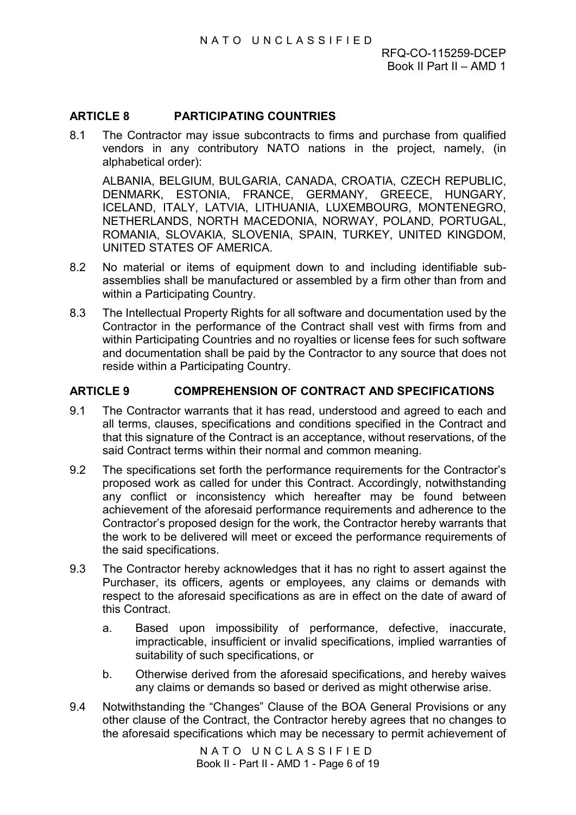# <span id="page-16-0"></span>**ARTICLE 8 PARTICIPATING COUNTRIES**

8.1 The Contractor may issue subcontracts to firms and purchase from qualified vendors in any contributory NATO nations in the project, namely, (in alphabetical order):

ALBANIA, BELGIUM, BULGARIA, CANADA, CROATIA, CZECH REPUBLIC, DENMARK, ESTONIA, FRANCE, GERMANY, GREECE, HUNGARY, ICELAND, ITALY, LATVIA, LITHUANIA, LUXEMBOURG, MONTENEGRO, NETHERLANDS, NORTH MACEDONIA, NORWAY, POLAND, PORTUGAL, ROMANIA, SLOVAKIA, SLOVENIA, SPAIN, TURKEY, UNITED KINGDOM, UNITED STATES OF AMERICA.

- 8.2 No material or items of equipment down to and including identifiable subassemblies shall be manufactured or assembled by a firm other than from and within a Participating Country.
- 8.3 The Intellectual Property Rights for all software and documentation used by the Contractor in the performance of the Contract shall vest with firms from and within Participating Countries and no royalties or license fees for such software and documentation shall be paid by the Contractor to any source that does not reside within a Participating Country.

# <span id="page-16-1"></span>**ARTICLE 9 COMPREHENSION OF CONTRACT AND SPECIFICATIONS**

- 9.1 The Contractor warrants that it has read, understood and agreed to each and all terms, clauses, specifications and conditions specified in the Contract and that this signature of the Contract is an acceptance, without reservations, of the said Contract terms within their normal and common meaning.
- 9.2 The specifications set forth the performance requirements for the Contractor's proposed work as called for under this Contract. Accordingly, notwithstanding any conflict or inconsistency which hereafter may be found between achievement of the aforesaid performance requirements and adherence to the Contractor's proposed design for the work, the Contractor hereby warrants that the work to be delivered will meet or exceed the performance requirements of the said specifications.
- 9.3 The Contractor hereby acknowledges that it has no right to assert against the Purchaser, its officers, agents or employees, any claims or demands with respect to the aforesaid specifications as are in effect on the date of award of this Contract.
	- a. Based upon impossibility of performance, defective, inaccurate, impracticable, insufficient or invalid specifications, implied warranties of suitability of such specifications, or
	- b. Otherwise derived from the aforesaid specifications, and hereby waives any claims or demands so based or derived as might otherwise arise.
- 9.4 Notwithstanding the "Changes" Clause of the BOA General Provisions or any other clause of the Contract, the Contractor hereby agrees that no changes to the aforesaid specifications which may be necessary to permit achievement of

NATO UNCLASSIFIED Book II - Part II - AMD 1 - Page 6 of 19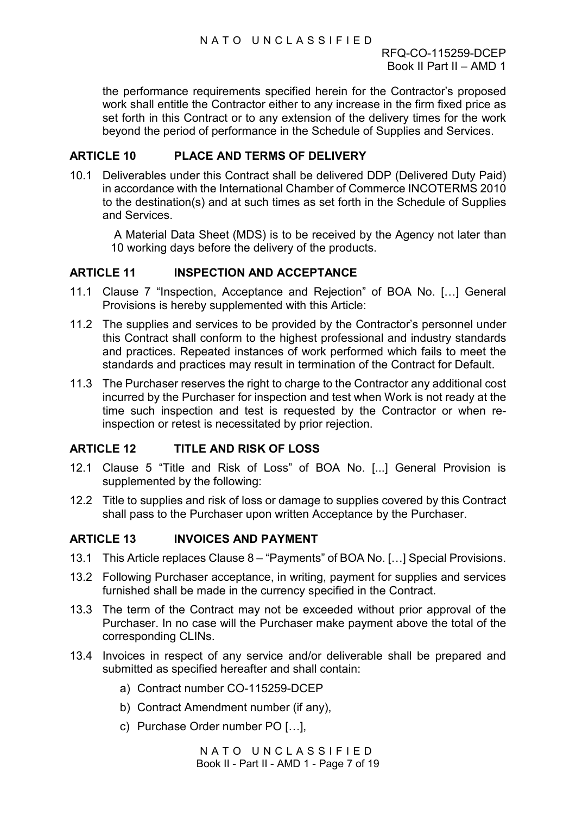the performance requirements specified herein for the Contractor's proposed work shall entitle the Contractor either to any increase in the firm fixed price as set forth in this Contract or to any extension of the delivery times for the work beyond the period of performance in the Schedule of Supplies and Services.

### <span id="page-17-0"></span>**ARTICLE 10 PLACE AND TERMS OF DELIVERY**

10.1 Deliverables under this Contract shall be delivered DDP (Delivered Duty Paid) in accordance with the International Chamber of Commerce INCOTERMS 2010 to the destination(s) and at such times as set forth in the Schedule of Supplies and Services.

A Material Data Sheet (MDS) is to be received by the Agency not later than 10 working days before the delivery of the products.

#### <span id="page-17-1"></span>**ARTICLE 11 INSPECTION AND ACCEPTANCE**

- 11.1 Clause 7 "Inspection, Acceptance and Rejection" of BOA No. […] General Provisions is hereby supplemented with this Article:
- 11.2 The supplies and services to be provided by the Contractor's personnel under this Contract shall conform to the highest professional and industry standards and practices. Repeated instances of work performed which fails to meet the standards and practices may result in termination of the Contract for Default.
- 11.3 The Purchaser reserves the right to charge to the Contractor any additional cost incurred by the Purchaser for inspection and test when Work is not ready at the time such inspection and test is requested by the Contractor or when reinspection or retest is necessitated by prior rejection.

# <span id="page-17-2"></span>**ARTICLE 12 TITLE AND RISK OF LOSS**

- 12.1 Clause 5 "Title and Risk of Loss" of BOA No. [...] General Provision is supplemented by the following:
- 12.2 Title to supplies and risk of loss or damage to supplies covered by this Contract shall pass to the Purchaser upon written Acceptance by the Purchaser.

### <span id="page-17-3"></span>**ARTICLE 13 INVOICES AND PAYMENT**

- 13.1 This Article replaces Clause 8 "Payments" of BOA No. […] Special Provisions.
- 13.2 Following Purchaser acceptance, in writing, payment for supplies and services furnished shall be made in the currency specified in the Contract.
- 13.3 The term of the Contract may not be exceeded without prior approval of the Purchaser. In no case will the Purchaser make payment above the total of the corresponding CLINs.
- 13.4 Invoices in respect of any service and/or deliverable shall be prepared and submitted as specified hereafter and shall contain:
	- a) Contract number CO-115259-DCEP
	- b) Contract Amendment number (if any),
	- c) Purchase Order number PO […],

NATO UNCLASSIFIED Book II - Part II - AMD 1 - Page 7 of 19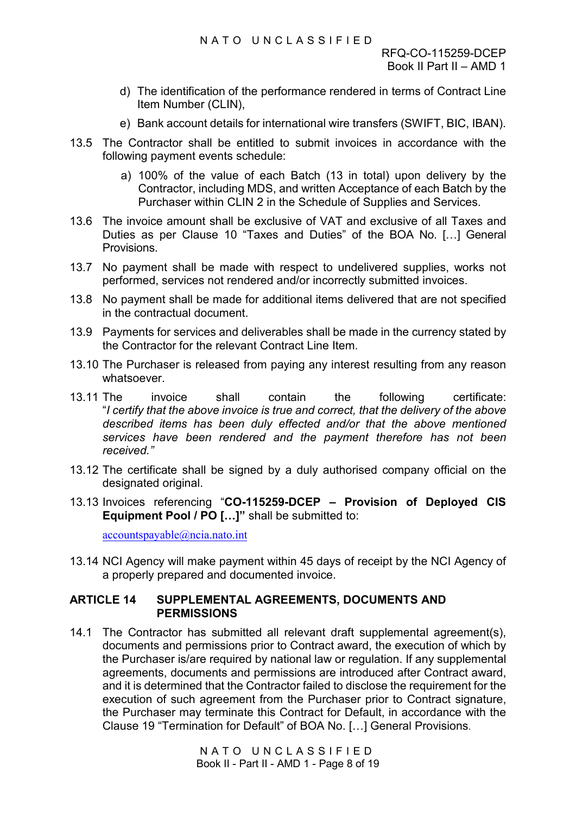- d) The identification of the performance rendered in terms of Contract Line Item Number (CLIN),
- e) Bank account details for international wire transfers (SWIFT, BIC, IBAN).
- 13.5 The Contractor shall be entitled to submit invoices in accordance with the following payment events schedule:
	- a) 100% of the value of each Batch (13 in total) upon delivery by the Contractor, including MDS, and written Acceptance of each Batch by the Purchaser within CLIN 2 in the Schedule of Supplies and Services.
- 13.6 The invoice amount shall be exclusive of VAT and exclusive of all Taxes and Duties as per Clause 10 "Taxes and Duties" of the BOA No. […] General Provisions.
- 13.7 No payment shall be made with respect to undelivered supplies, works not performed, services not rendered and/or incorrectly submitted invoices.
- 13.8 No payment shall be made for additional items delivered that are not specified in the contractual document.
- 13.9 Payments for services and deliverables shall be made in the currency stated by the Contractor for the relevant Contract Line Item.
- 13.10 The Purchaser is released from paying any interest resulting from any reason whatsoever.
- 13.11 The invoice shall contain the following certificate: "*I certify that the above invoice is true and correct, that the delivery of the above described items has been duly effected and/or that the above mentioned services have been rendered and the payment therefore has not been received."*
- 13.12 The certificate shall be signed by a duly authorised company official on the designated original.
- 13.13 Invoices referencing "**CO-115259-DCEP Provision of Deployed CIS Equipment Pool / PO […]"** shall be submitted to:

[accountspayable@ncia.nato.int](mailto:accountspayable@ncia.nato.int)

13.14 NCI Agency will make payment within 45 days of receipt by the NCI Agency of a properly prepared and documented invoice.

# <span id="page-18-0"></span>**ARTICLE 14 SUPPLEMENTAL AGREEMENTS, DOCUMENTS AND PERMISSIONS**

14.1 The Contractor has submitted all relevant draft supplemental agreement(s), documents and permissions prior to Contract award, the execution of which by the Purchaser is/are required by national law or regulation. If any supplemental agreements, documents and permissions are introduced after Contract award, and it is determined that the Contractor failed to disclose the requirement for the execution of such agreement from the Purchaser prior to Contract signature, the Purchaser may terminate this Contract for Default, in accordance with the Clause 19 "Termination for Default" of BOA No. […] General Provisions.

> NATO UNCLASSIFIED Book II - Part II - AMD 1 - Page 8 of 19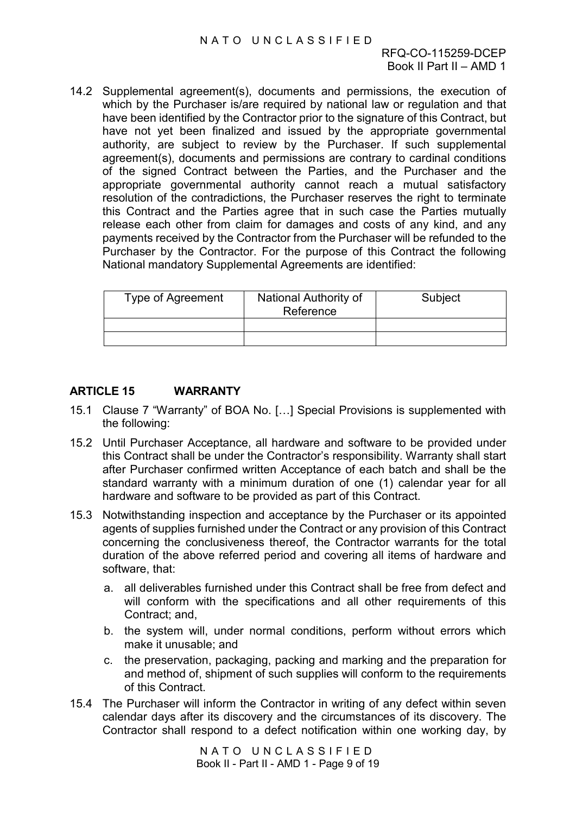14.2 Supplemental agreement(s), documents and permissions, the execution of which by the Purchaser is/are required by national law or regulation and that have been identified by the Contractor prior to the signature of this Contract, but have not yet been finalized and issued by the appropriate governmental authority, are subject to review by the Purchaser. If such supplemental agreement(s), documents and permissions are contrary to cardinal conditions of the signed Contract between the Parties, and the Purchaser and the appropriate governmental authority cannot reach a mutual satisfactory resolution of the contradictions, the Purchaser reserves the right to terminate this Contract and the Parties agree that in such case the Parties mutually release each other from claim for damages and costs of any kind, and any payments received by the Contractor from the Purchaser will be refunded to the Purchaser by the Contractor. For the purpose of this Contract the following National mandatory Supplemental Agreements are identified:

| Type of Agreement | National Authority of<br>Reference | Subject |
|-------------------|------------------------------------|---------|
|                   |                                    |         |
|                   |                                    |         |

#### <span id="page-19-0"></span>**ARTICLE 15 WARRANTY**

- 15.1 Clause 7 "Warranty" of BOA No. […] Special Provisions is supplemented with the following:
- 15.2 Until Purchaser Acceptance, all hardware and software to be provided under this Contract shall be under the Contractor's responsibility. Warranty shall start after Purchaser confirmed written Acceptance of each batch and shall be the standard warranty with a minimum duration of one (1) calendar year for all hardware and software to be provided as part of this Contract.
- 15.3 Notwithstanding inspection and acceptance by the Purchaser or its appointed agents of supplies furnished under the Contract or any provision of this Contract concerning the conclusiveness thereof, the Contractor warrants for the total duration of the above referred period and covering all items of hardware and software, that:
	- a. all deliverables furnished under this Contract shall be free from defect and will conform with the specifications and all other requirements of this Contract; and,
	- b. the system will, under normal conditions, perform without errors which make it unusable; and
	- c. the preservation, packaging, packing and marking and the preparation for and method of, shipment of such supplies will conform to the requirements of this Contract.
- 15.4 The Purchaser will inform the Contractor in writing of any defect within seven calendar days after its discovery and the circumstances of its discovery. The Contractor shall respond to a defect notification within one working day, by

NATO UNCLASSIFIED Book II - Part II - AMD 1 - Page 9 of 19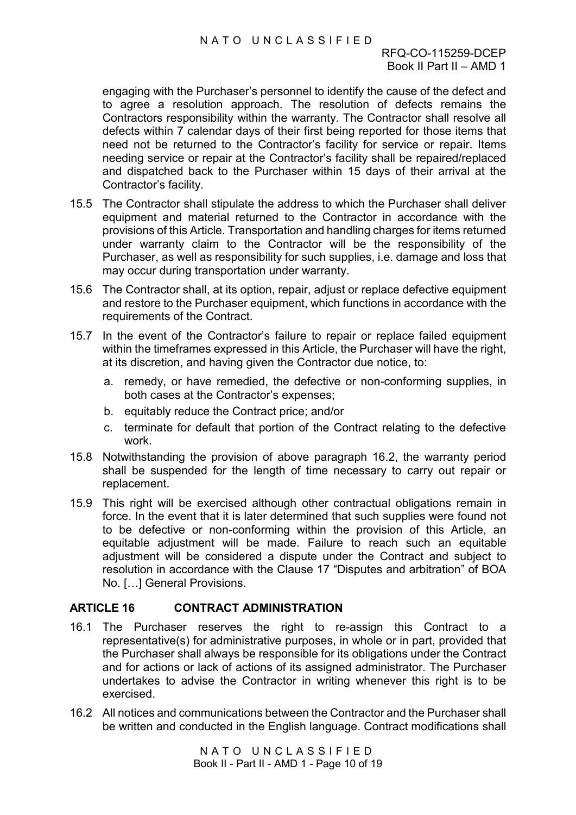### NATO UNCLASSIFIED

engaging with the Purchaser's personnel to identify the cause of the defect and to agree a resolution approach. The resolution of defects remains the Contractors responsibility within the warranty. The Contractor shall resolve all defects within 7 calendar days of their first being reported for those items that need not be returned to the Contractor's facility for service or repair. Items needing service or repair at the Contractor's facility shall be repaired/replaced and dispatched back to the Purchaser within 15 days of their arrival at the Contractor's facility.

- 15.5 The Contractor shall stipulate the address to which the Purchaser shall deliver equipment and material returned to the Contractor in accordance with the provisions of this Article. Transportation and handling charges for items returned under warranty claim to the Contractor will be the responsibility of the Purchaser, as well as responsibility for such supplies, i.e. damage and loss that may occur during transportation under warranty.
- 15.6 The Contractor shall, at its option, repair, adjust or replace defective equipment and restore to the Purchaser equipment, which functions in accordance with the requirements of the Contract.
- 15.7 In the event of the Contractor's failure to repair or replace failed equipment within the timeframes expressed in this Article, the Purchaser will have the right, at its discretion, and having given the Contractor due notice, to:
	- a. remedy, or have remedied, the defective or non-conforming supplies, in both cases at the Contractor's expenses;
	- b. equitably reduce the Contract price; and/or
	- c. terminate for default that portion of the Contract relating to the defective work.
- 15.8 Notwithstanding the provision of above paragraph 16.2, the warranty period shall be suspended for the length of time necessary to carry out repair or replacement.
- 15.9 This right will be exercised although other contractual obligations remain in force. In the event that it is later determined that such supplies were found not to be defective or non-conforming within the provision of this Article, an equitable adjustment will be made. Failure to reach such an equitable adjustment will be considered a dispute under the Contract and subject to resolution in accordance with the Clause 17 "Disputes and arbitration" of BOA No. […] General Provisions.

# <span id="page-20-0"></span>**ARTICLE 16 CONTRACT ADMINISTRATION**

- 16.1 The Purchaser reserves the right to re-assign this Contract to a representative(s) for administrative purposes, in whole or in part, provided that the Purchaser shall always be responsible for its obligations under the Contract and for actions or lack of actions of its assigned administrator. The Purchaser undertakes to advise the Contractor in writing whenever this right is to be exercised.
- 16.2 All notices and communications between the Contractor and the Purchaser shall be written and conducted in the English language. Contract modifications shall

NATO UNCLASSIFIED Book II - Part II - AMD 1 - Page 10 of 19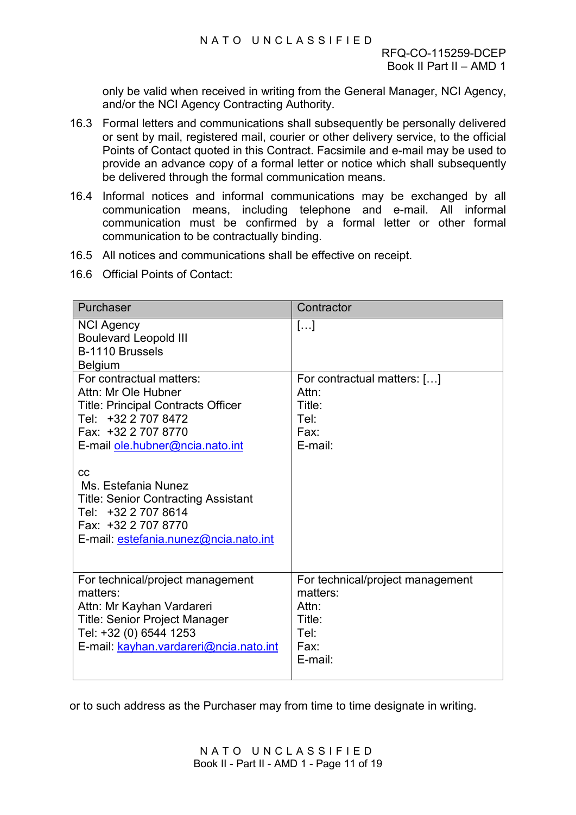only be valid when received in writing from the General Manager, NCI Agency, and/or the NCI Agency Contracting Authority.

- 16.3 Formal letters and communications shall subsequently be personally delivered or sent by mail, registered mail, courier or other delivery service, to the official Points of Contact quoted in this Contract. Facsimile and e-mail may be used to provide an advance copy of a formal letter or notice which shall subsequently be delivered through the formal communication means.
- 16.4 Informal notices and informal communications may be exchanged by all communication means, including telephone and e-mail. All informal communication must be confirmed by a formal letter or other formal communication to be contractually binding.
- 16.5 All notices and communications shall be effective on receipt.
- 16.6 Official Points of Contact:

| Purchaser                                                                                                                                                                                                                                                                                                                                       | Contractor                                                                                 |
|-------------------------------------------------------------------------------------------------------------------------------------------------------------------------------------------------------------------------------------------------------------------------------------------------------------------------------------------------|--------------------------------------------------------------------------------------------|
| <b>NCI Agency</b><br><b>Boulevard Leopold III</b><br>B-1110 Brussels<br><b>Belgium</b>                                                                                                                                                                                                                                                          | $[]$                                                                                       |
| For contractual matters:<br>Attn: Mr Ole Hubner<br><b>Title: Principal Contracts Officer</b><br>Tel: +32 2 707 8472<br>Fax: +32 2 707 8770<br>E-mail ole.hubner@ncia.nato.int<br>CC<br>Ms. Estefania Nunez<br><b>Title: Senior Contracting Assistant</b><br>Tel: +32 2 707 8614<br>Fax: +32 2 707 8770<br>E-mail: estefania.nunez@ncia.nato.int | For contractual matters: []<br>Attn <sup>.</sup><br>Title:<br>Tel:<br>Fax:<br>E-mail:      |
| For technical/project management<br>matters:<br>Attn: Mr Kayhan Vardareri<br><b>Title: Senior Project Manager</b><br>Tel: +32 (0) 6544 1253<br>E-mail: kayhan.vardareri@ncia.nato.int                                                                                                                                                           | For technical/project management<br>matters:<br>Attn:<br>Title:<br>Tel:<br>Fax:<br>E-mail: |

or to such address as the Purchaser may from time to time designate in writing.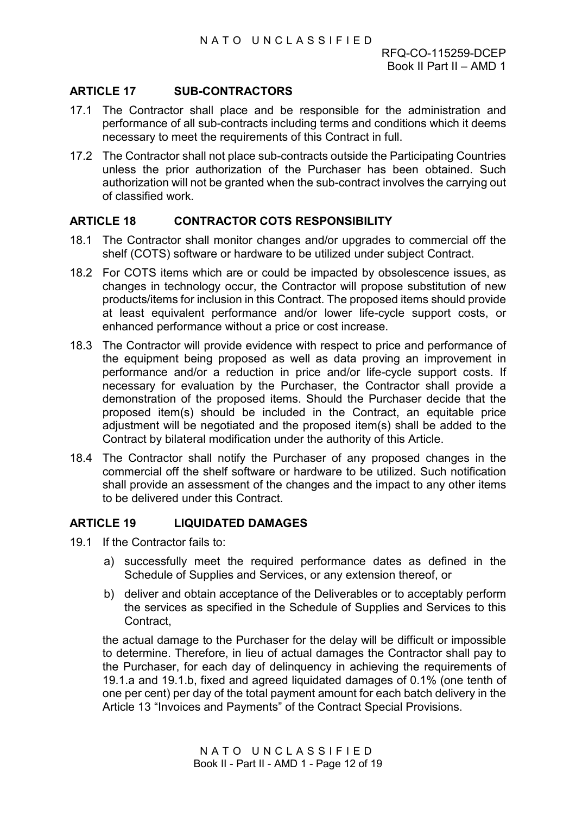# <span id="page-22-0"></span>**ARTICLE 17 SUB-CONTRACTORS**

- 17.1 The Contractor shall place and be responsible for the administration and performance of all sub-contracts including terms and conditions which it deems necessary to meet the requirements of this Contract in full.
- 17.2 The Contractor shall not place sub-contracts outside the Participating Countries unless the prior authorization of the Purchaser has been obtained. Such authorization will not be granted when the sub-contract involves the carrying out of classified work.

#### <span id="page-22-1"></span>**ARTICLE 18 CONTRACTOR COTS RESPONSIBILITY**

- 18.1 The Contractor shall monitor changes and/or upgrades to commercial off the shelf (COTS) software or hardware to be utilized under subject Contract.
- 18.2 For COTS items which are or could be impacted by obsolescence issues, as changes in technology occur, the Contractor will propose substitution of new products/items for inclusion in this Contract. The proposed items should provide at least equivalent performance and/or lower life-cycle support costs, or enhanced performance without a price or cost increase.
- 18.3 The Contractor will provide evidence with respect to price and performance of the equipment being proposed as well as data proving an improvement in performance and/or a reduction in price and/or life-cycle support costs. If necessary for evaluation by the Purchaser, the Contractor shall provide a demonstration of the proposed items. Should the Purchaser decide that the proposed item(s) should be included in the Contract, an equitable price adjustment will be negotiated and the proposed item(s) shall be added to the Contract by bilateral modification under the authority of this Article.
- 18.4 The Contractor shall notify the Purchaser of any proposed changes in the commercial off the shelf software or hardware to be utilized. Such notification shall provide an assessment of the changes and the impact to any other items to be delivered under this Contract.

#### <span id="page-22-2"></span>**ARTICLE 19 LIQUIDATED DAMAGES**

- 19.1 If the Contractor fails to:
	- a) successfully meet the required performance dates as defined in the Schedule of Supplies and Services, or any extension thereof, or
	- b) deliver and obtain acceptance of the Deliverables or to acceptably perform the services as specified in the Schedule of Supplies and Services to this **Contract**

the actual damage to the Purchaser for the delay will be difficult or impossible to determine. Therefore, in lieu of actual damages the Contractor shall pay to the Purchaser, for each day of delinquency in achieving the requirements of 19.1.a and 19.1.b, fixed and agreed liquidated damages of 0.1% (one tenth of one per cent) per day of the total payment amount for each batch delivery in the Article 13 "Invoices and Payments" of the Contract Special Provisions.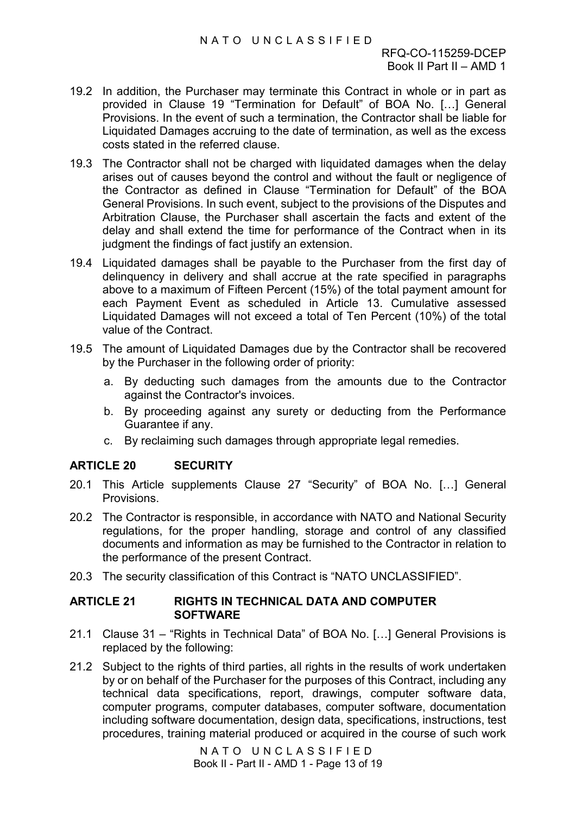- 19.2 In addition, the Purchaser may terminate this Contract in whole or in part as provided in Clause 19 "Termination for Default" of BOA No. […] General Provisions. In the event of such a termination, the Contractor shall be liable for Liquidated Damages accruing to the date of termination, as well as the excess costs stated in the referred clause.
- 19.3 The Contractor shall not be charged with liquidated damages when the delay arises out of causes beyond the control and without the fault or negligence of the Contractor as defined in Clause "Termination for Default" of the BOA General Provisions. In such event, subject to the provisions of the Disputes and Arbitration Clause, the Purchaser shall ascertain the facts and extent of the delay and shall extend the time for performance of the Contract when in its judgment the findings of fact justify an extension.
- 19.4 Liquidated damages shall be payable to the Purchaser from the first day of delinquency in delivery and shall accrue at the rate specified in paragraphs above to a maximum of Fifteen Percent (15%) of the total payment amount for each Payment Event as scheduled in Article 13. Cumulative assessed Liquidated Damages will not exceed a total of Ten Percent (10%) of the total value of the Contract.
- 19.5 The amount of Liquidated Damages due by the Contractor shall be recovered by the Purchaser in the following order of priority:
	- a. By deducting such damages from the amounts due to the Contractor against the Contractor's invoices.
	- b. By proceeding against any surety or deducting from the Performance Guarantee if any.
	- c. By reclaiming such damages through appropriate legal remedies.

# <span id="page-23-0"></span>**ARTICLE 20 SECURITY**

- 20.1 This Article supplements Clause 27 "Security" of BOA No. […] General **Provisions**
- 20.2 The Contractor is responsible, in accordance with NATO and National Security regulations, for the proper handling, storage and control of any classified documents and information as may be furnished to the Contractor in relation to the performance of the present Contract.
- 20.3 The security classification of this Contract is "NATO UNCLASSIFIED".

#### <span id="page-23-1"></span>**ARTICLE 21 RIGHTS IN TECHNICAL DATA AND COMPUTER SOFTWARE**

- 21.1 Clause 31 "Rights in Technical Data" of BOA No. […] General Provisions is replaced by the following:
- 21.2 Subject to the rights of third parties, all rights in the results of work undertaken by or on behalf of the Purchaser for the purposes of this Contract, including any technical data specifications, report, drawings, computer software data, computer programs, computer databases, computer software, documentation including software documentation, design data, specifications, instructions, test procedures, training material produced or acquired in the course of such work

NATO UNCLASSIFIED Book II - Part II - AMD 1 - Page 13 of 19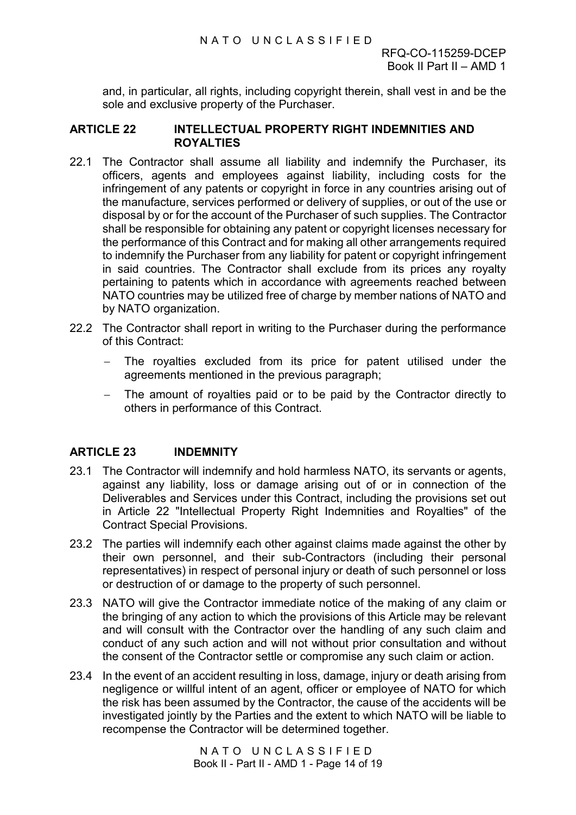and, in particular, all rights, including copyright therein, shall vest in and be the sole and exclusive property of the Purchaser.

#### <span id="page-24-0"></span>**ARTICLE 22 INTELLECTUAL PROPERTY RIGHT INDEMNITIES AND ROYALTIES**

- 22.1 The Contractor shall assume all liability and indemnify the Purchaser, its officers, agents and employees against liability, including costs for the infringement of any patents or copyright in force in any countries arising out of the manufacture, services performed or delivery of supplies, or out of the use or disposal by or for the account of the Purchaser of such supplies. The Contractor shall be responsible for obtaining any patent or copyright licenses necessary for the performance of this Contract and for making all other arrangements required to indemnify the Purchaser from any liability for patent or copyright infringement in said countries. The Contractor shall exclude from its prices any royalty pertaining to patents which in accordance with agreements reached between NATO countries may be utilized free of charge by member nations of NATO and by NATO organization.
- 22.2 The Contractor shall report in writing to the Purchaser during the performance of this Contract:
	- The royalties excluded from its price for patent utilised under the agreements mentioned in the previous paragraph;
	- − The amount of royalties paid or to be paid by the Contractor directly to others in performance of this Contract.

#### <span id="page-24-1"></span>**ARTICLE 23 INDEMNITY**

- 23.1 The Contractor will indemnify and hold harmless NATO, its servants or agents, against any liability, loss or damage arising out of or in connection of the Deliverables and Services under this Contract, including the provisions set out in Article 22 "Intellectual Property Right Indemnities and Royalties" of the Contract Special Provisions.
- 23.2 The parties will indemnify each other against claims made against the other by their own personnel, and their sub-Contractors (including their personal representatives) in respect of personal injury or death of such personnel or loss or destruction of or damage to the property of such personnel.
- 23.3 NATO will give the Contractor immediate notice of the making of any claim or the bringing of any action to which the provisions of this Article may be relevant and will consult with the Contractor over the handling of any such claim and conduct of any such action and will not without prior consultation and without the consent of the Contractor settle or compromise any such claim or action.
- 23.4 In the event of an accident resulting in loss, damage, injury or death arising from negligence or willful intent of an agent, officer or employee of NATO for which the risk has been assumed by the Contractor, the cause of the accidents will be investigated jointly by the Parties and the extent to which NATO will be liable to recompense the Contractor will be determined together.

NATO UNCLASSIFIED Book II - Part II - AMD 1 - Page 14 of 19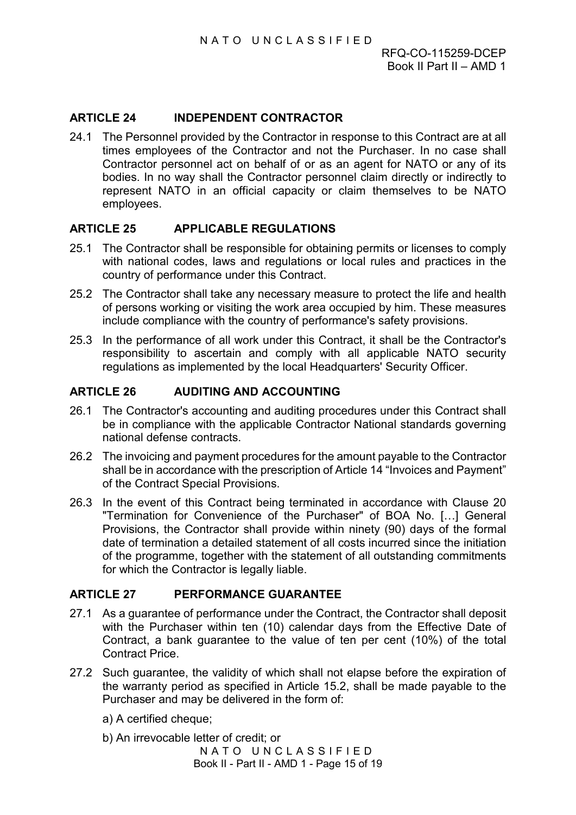# <span id="page-25-0"></span>**ARTICLE 24 INDEPENDENT CONTRACTOR**

24.1 The Personnel provided by the Contractor in response to this Contract are at all times employees of the Contractor and not the Purchaser. In no case shall Contractor personnel act on behalf of or as an agent for NATO or any of its bodies. In no way shall the Contractor personnel claim directly or indirectly to represent NATO in an official capacity or claim themselves to be NATO employees.

# <span id="page-25-1"></span>**ARTICLE 25 APPLICABLE REGULATIONS**

- 25.1 The Contractor shall be responsible for obtaining permits or licenses to comply with national codes, laws and regulations or local rules and practices in the country of performance under this Contract.
- 25.2 The Contractor shall take any necessary measure to protect the life and health of persons working or visiting the work area occupied by him. These measures include compliance with the country of performance's safety provisions.
- 25.3 In the performance of all work under this Contract, it shall be the Contractor's responsibility to ascertain and comply with all applicable NATO security regulations as implemented by the local Headquarters' Security Officer.

# <span id="page-25-2"></span>**ARTICLE 26 AUDITING AND ACCOUNTING**

- 26.1 The Contractor's accounting and auditing procedures under this Contract shall be in compliance with the applicable Contractor National standards governing national defense contracts.
- 26.2 The invoicing and payment procedures for the amount payable to the Contractor shall be in accordance with the prescription of Article 14 "Invoices and Payment" of the Contract Special Provisions.
- 26.3 In the event of this Contract being terminated in accordance with Clause 20 "Termination for Convenience of the Purchaser" of BOA No. […] General Provisions, the Contractor shall provide within ninety (90) days of the formal date of termination a detailed statement of all costs incurred since the initiation of the programme, together with the statement of all outstanding commitments for which the Contractor is legally liable.

#### <span id="page-25-3"></span>**ARTICLE 27 PERFORMANCE GUARANTEE**

- 27.1 As a guarantee of performance under the Contract, the Contractor shall deposit with the Purchaser within ten (10) calendar days from the Effective Date of Contract, a bank guarantee to the value of ten per cent (10%) of the total Contract Price.
- 27.2 Such guarantee, the validity of which shall not elapse before the expiration of the warranty period as specified in Article 15.2, shall be made payable to the Purchaser and may be delivered in the form of:
	- a) A certified cheque;

NATO UNCLASSIFIED Book II - Part II - AMD 1 - Page 15 of 19 b) An irrevocable letter of credit; or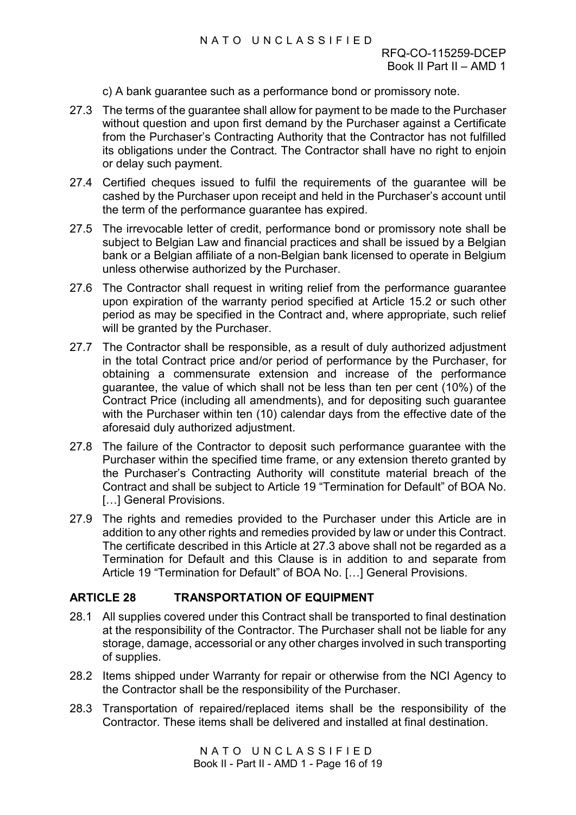# NATO UNCLASSIFIED

- c) A bank guarantee such as a performance bond or promissory note.
- 27.3 The terms of the guarantee shall allow for payment to be made to the Purchaser without question and upon first demand by the Purchaser against a Certificate from the Purchaser's Contracting Authority that the Contractor has not fulfilled its obligations under the Contract. The Contractor shall have no right to enjoin or delay such payment.
- 27.4 Certified cheques issued to fulfil the requirements of the guarantee will be cashed by the Purchaser upon receipt and held in the Purchaser's account until the term of the performance guarantee has expired.
- 27.5 The irrevocable letter of credit, performance bond or promissory note shall be subject to Belgian Law and financial practices and shall be issued by a Belgian bank or a Belgian affiliate of a non-Belgian bank licensed to operate in Belgium unless otherwise authorized by the Purchaser.
- 27.6 The Contractor shall request in writing relief from the performance guarantee upon expiration of the warranty period specified at Article 15.2 or such other period as may be specified in the Contract and, where appropriate, such relief will be granted by the Purchaser.
- 27.7 The Contractor shall be responsible, as a result of duly authorized adjustment in the total Contract price and/or period of performance by the Purchaser, for obtaining a commensurate extension and increase of the performance guarantee, the value of which shall not be less than ten per cent (10%) of the Contract Price (including all amendments), and for depositing such guarantee with the Purchaser within ten (10) calendar days from the effective date of the aforesaid duly authorized adjustment.
- 27.8 The failure of the Contractor to deposit such performance guarantee with the Purchaser within the specified time frame, or any extension thereto granted by the Purchaser's Contracting Authority will constitute material breach of the Contract and shall be subject to Article 19 "Termination for Default" of BOA No. […] General Provisions.
- 27.9 The rights and remedies provided to the Purchaser under this Article are in addition to any other rights and remedies provided by law or under this Contract. The certificate described in this Article at 27.3 above shall not be regarded as a Termination for Default and this Clause is in addition to and separate from Article 19 "Termination for Default" of BOA No. […] General Provisions.

# <span id="page-26-0"></span>**ARTICLE 28 TRANSPORTATION OF EQUIPMENT**

- 28.1 All supplies covered under this Contract shall be transported to final destination at the responsibility of the Contractor. The Purchaser shall not be liable for any storage, damage, accessorial or any other charges involved in such transporting of supplies.
- 28.2 Items shipped under Warranty for repair or otherwise from the NCI Agency to the Contractor shall be the responsibility of the Purchaser.
- 28.3 Transportation of repaired/replaced items shall be the responsibility of the Contractor. These items shall be delivered and installed at final destination.

NATO UNCLASSIFIED Book II - Part II - AMD 1 - Page 16 of 19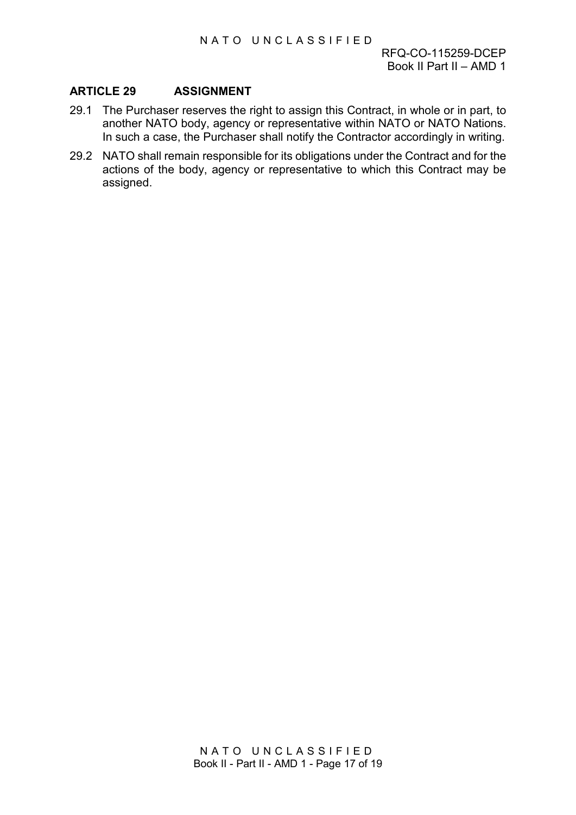### <span id="page-27-0"></span>**ARTICLE 29 ASSIGNMENT**

- 29.1 The Purchaser reserves the right to assign this Contract, in whole or in part, to another NATO body, agency or representative within NATO or NATO Nations. In such a case, the Purchaser shall notify the Contractor accordingly in writing.
- 29.2 NATO shall remain responsible for its obligations under the Contract and for the actions of the body, agency or representative to which this Contract may be assigned.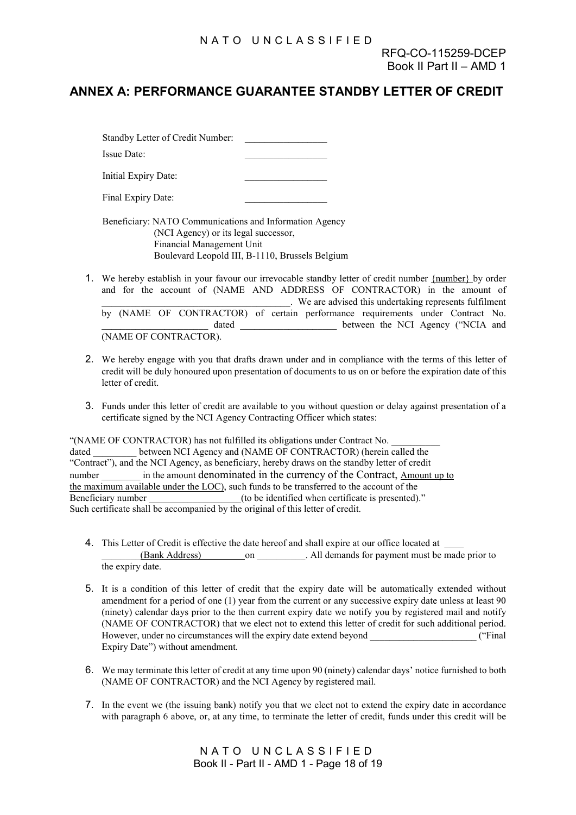# **ANNEX A: PERFORMANCE GUARANTEE STANDBY LETTER OF CREDIT**

Standby Letter of Credit Number: Issue Date: Initial Expiry Date:

Final Expiry Date:

Beneficiary: NATO Communications and Information Agency (NCI Agency) or its legal successor, Financial Management Unit Boulevard Leopold III, B-1110, Brussels Belgium

- 1. We hereby establish in your favour our irrevocable standby letter of credit number {number} by order and for the account of (NAME AND ADDRESS OF CONTRACTOR) in the amount of \_\_\_\_\_\_\_\_\_\_\_\_\_\_\_\_\_\_\_\_\_\_\_\_\_\_\_\_\_\_\_\_\_\_\_\_\_\_\_. We are advised this undertaking represents fulfilment by (NAME OF CONTRACTOR) of certain performance requirements under Contract No. dated between the NCI Agency ("NCIA and (NAME OF CONTRACTOR).
- 2. We hereby engage with you that drafts drawn under and in compliance with the terms of this letter of credit will be duly honoured upon presentation of documents to us on or before the expiration date of this letter of credit.
- 3. Funds under this letter of credit are available to you without question or delay against presentation of a certificate signed by the NCI Agency Contracting Officer which states:

"(NAME OF CONTRACTOR) has not fulfilled its obligations under Contract No. \_\_\_\_\_\_\_\_\_\_ dated between NCI Agency and (NAME OF CONTRACTOR) (herein called the "Contract"), and the NCI Agency, as beneficiary, hereby draws on the standby letter of credit number in the amount denominated in the currency of the Contract, Amount up to the maximum available under the LOC), such funds to be transferred to the account of the Beneficiary number \_\_\_\_\_\_\_\_\_\_\_\_\_\_\_\_\_(to be identified when certificate is presented)." Such certificate shall be accompanied by the original of this letter of credit.

- 4. This Letter of Credit is effective the date hereof and shall expire at our office located at \_\_\_\_ (Bank Address) on on All demands for payment must be made prior to the expiry date.
- 5. It is a condition of this letter of credit that the expiry date will be automatically extended without amendment for a period of one (1) year from the current or any successive expiry date unless at least 90 (ninety) calendar days prior to the then current expiry date we notify you by registered mail and notify (NAME OF CONTRACTOR) that we elect not to extend this letter of credit for such additional period. However, under no circumstances will the expiry date extend beyond  $($ "Final Expiry Date") without amendment.
- 6. We may terminate this letter of credit at any time upon 90 (ninety) calendar days' notice furnished to both (NAME OF CONTRACTOR) and the NCI Agency by registered mail.
- 7. In the event we (the issuing bank) notify you that we elect not to extend the expiry date in accordance with paragraph 6 above, or, at any time, to terminate the letter of credit, funds under this credit will be

NATO UNCLASSIFIED Book II - Part II - AMD 1 - Page 18 of 19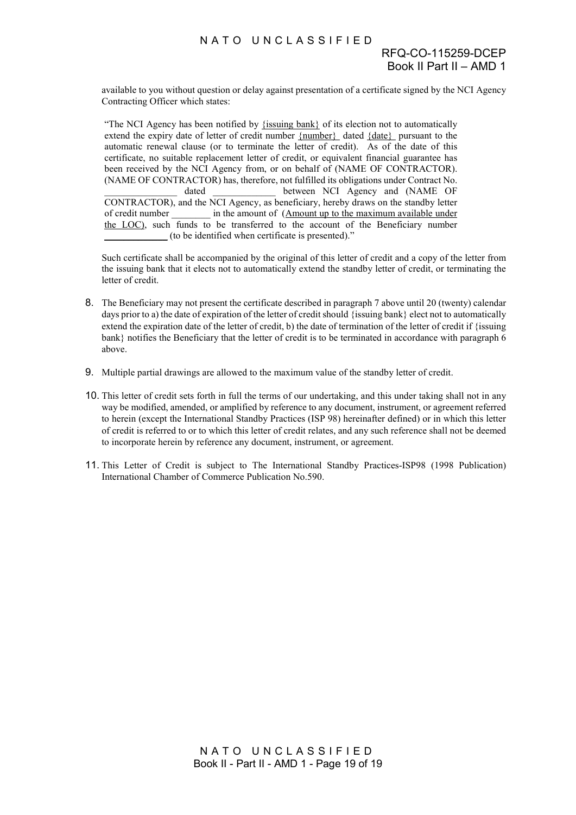# RFQ-CO-115259-DCEP Book II Part II – AMD 1

available to you without question or delay against presentation of a certificate signed by the NCI Agency Contracting Officer which states:

"The NCI Agency has been notified by {issuing bank} of its election not to automatically extend the expiry date of letter of credit number {number} dated {date} pursuant to the automatic renewal clause (or to terminate the letter of credit). As of the date of this certificate, no suitable replacement letter of credit, or equivalent financial guarantee has been received by the NCI Agency from, or on behalf of (NAME OF CONTRACTOR). (NAME OF CONTRACTOR) has, therefore, not fulfilled its obligations under Contract No. dated between NCI Agency and (NAME OF CONTRACTOR), and the NCI Agency, as beneficiary, hereby draws on the standby letter of credit number in the amount of (Amount up to the maximum available under the LOC), such funds to be transferred to the account of the Beneficiary number \_\_\_\_\_\_\_\_\_\_\_\_\_ (to be identified when certificate is presented)."

Such certificate shall be accompanied by the original of this letter of credit and a copy of the letter from the issuing bank that it elects not to automatically extend the standby letter of credit, or terminating the letter of credit.

- 8. The Beneficiary may not present the certificate described in paragraph 7 above until 20 (twenty) calendar days prior to a) the date of expiration of the letter of credit should {issuing bank} elect not to automatically extend the expiration date of the letter of credit, b) the date of termination of the letter of credit if {issuing bank} notifies the Beneficiary that the letter of credit is to be terminated in accordance with paragraph 6 above.
- 9. Multiple partial drawings are allowed to the maximum value of the standby letter of credit.
- 10. This letter of credit sets forth in full the terms of our undertaking, and this under taking shall not in any way be modified, amended, or amplified by reference to any document, instrument, or agreement referred to herein (except the International Standby Practices (ISP 98) hereinafter defined) or in which this letter of credit is referred to or to which this letter of credit relates, and any such reference shall not be deemed to incorporate herein by reference any document, instrument, or agreement.
- 11. This Letter of Credit is subject to The International Standby Practices-ISP98 (1998 Publication) International Chamber of Commerce Publication No.590.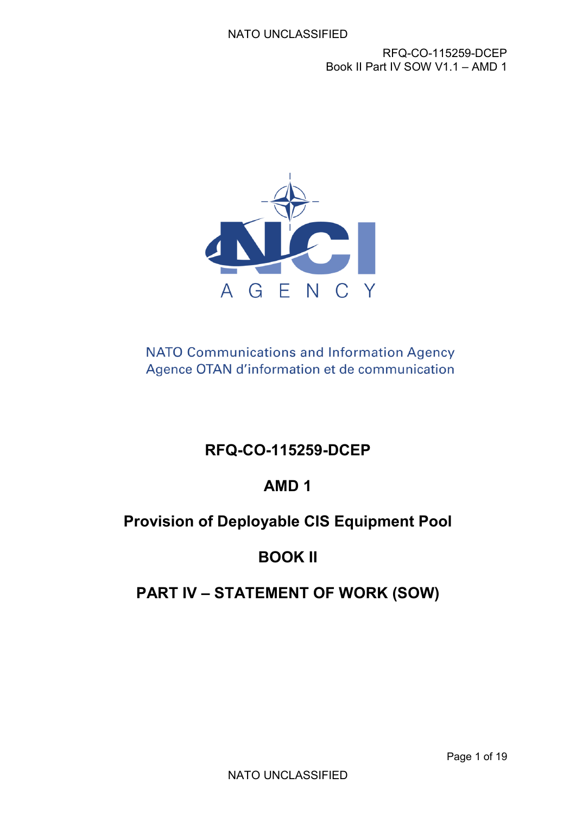

**NATO Communications and Information Agency** Agence OTAN d'information et de communication

# **RFQ-CO-115259-DCEP**

# **AMD 1**

# **Provision of Deployable CIS Equipment Pool**

# **BOOK II**

# **PART IV – STATEMENT OF WORK (SOW)**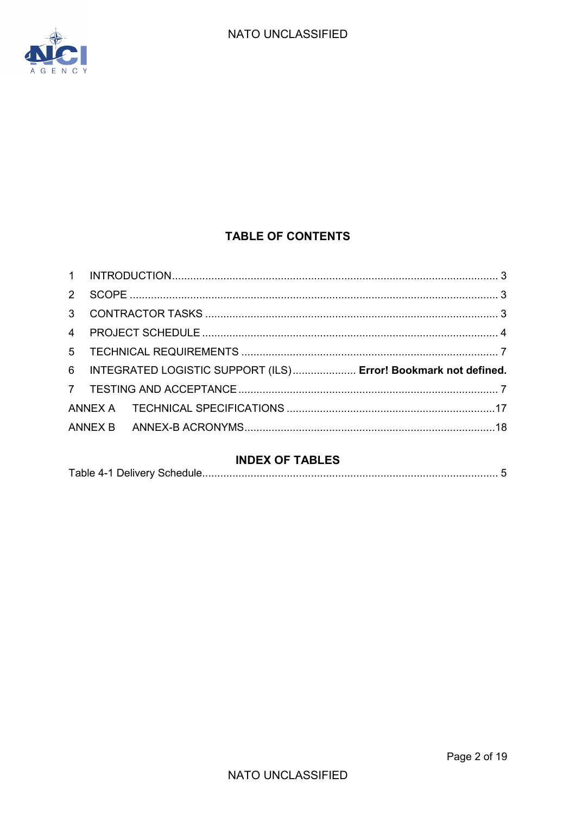

# **TABLE OF CONTENTS**

| $2^{\circ}$    |                                                                  |  |
|----------------|------------------------------------------------------------------|--|
| $\mathbf{3}$   |                                                                  |  |
| $\overline{4}$ |                                                                  |  |
| 5 <sup>5</sup> |                                                                  |  |
|                | 6 INTEGRATED LOGISTIC SUPPORT (ILS) Error! Bookmark not defined. |  |
|                |                                                                  |  |
|                |                                                                  |  |
|                |                                                                  |  |

# **INDEX OF TABLES**

|--|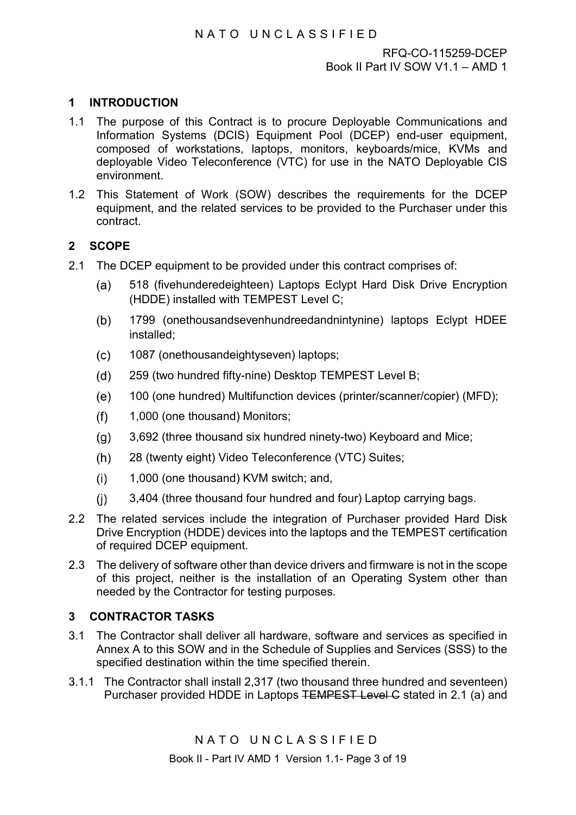# <span id="page-32-0"></span>**1 INTRODUCTION**

- 1.1 The purpose of this Contract is to procure Deployable Communications and Information Systems (DCIS) Equipment Pool (DCEP) end-user equipment, composed of workstations, laptops, monitors, keyboards/mice, KVMs and deployable Video Teleconference (VTC) for use in the NATO Deployable CIS environment.
- 1.2 This Statement of Work (SOW) describes the requirements for the DCEP equipment, and the related services to be provided to the Purchaser under this contract.

# <span id="page-32-1"></span>**2 SCOPE**

- 2.1 The DCEP equipment to be provided under this contract comprises of:
	- 518 (fivehunderedeighteen) Laptops Eclypt Hard Disk Drive Encryption  $(a)$ (HDDE) installed with TEMPEST Level C;
	- 1799 (onethousandsevenhundreedandnintynine) laptops Eclypt HDEE  $(b)$ installed;
	- $(c)$ 1087 (onethousandeightyseven) laptops;
	- $(d)$ 259 (two hundred fifty-nine) Desktop TEMPEST Level B;
	- $(e)$ 100 (one hundred) Multifunction devices (printer/scanner/copier) (MFD);
	- 1,000 (one thousand) Monitors;  $(f)$
	- $(q)$ 3,692 (three thousand six hundred ninety-two) Keyboard and Mice;
	- $(h)$ 28 (twenty eight) Video Teleconference (VTC) Suites;
	- 1,000 (one thousand) KVM switch; and,  $(i)$
	- 3,404 (three thousand four hundred and four) Laptop carrying bags.  $(i)$
- 2.2 The related services include the integration of Purchaser provided Hard Disk Drive Encryption (HDDE) devices into the laptops and the TEMPEST certification of required DCEP equipment.
- 2.3 The delivery of software other than device drivers and firmware is not in the scope of this project, neither is the installation of an Operating System other than needed by the Contractor for testing purposes.

# <span id="page-32-2"></span>**3 CONTRACTOR TASKS**

- 3.1 The Contractor shall deliver all hardware, software and services as specified in Annex A to this SOW and in the Schedule of Supplies and Services (SSS) to the specified destination within the time specified therein.
- 3.1.1 The Contractor shall install 2,317 (two thousand three hundred and seventeen) Purchaser provided HDDE in Laptops TEMPEST Level C stated in 2.1 (a) and

NATO UNCLASSIFIED

Book II - Part IV AMD 1 Version 1.1- Page 3 of 19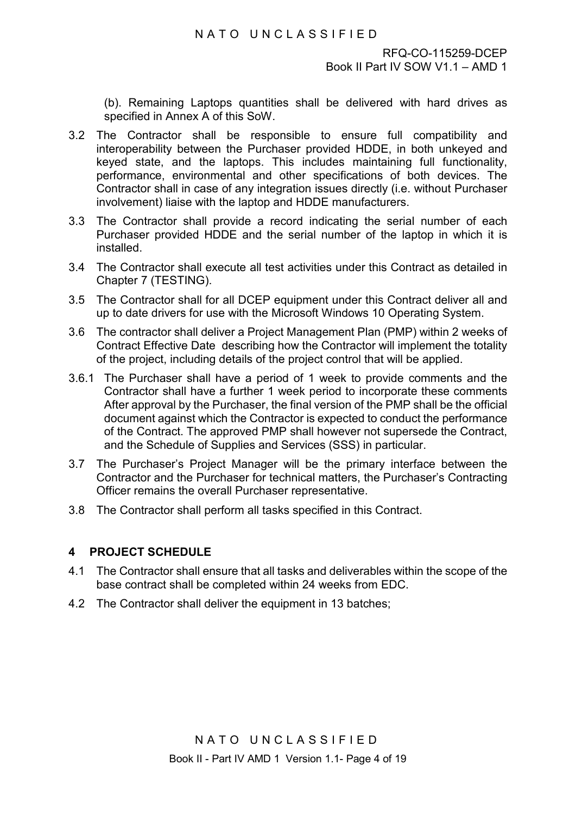(b). Remaining Laptops quantities shall be delivered with hard drives as specified in Annex A of this SoW.

- 3.2 The Contractor shall be responsible to ensure full compatibility and interoperability between the Purchaser provided HDDE, in both unkeyed and keyed state, and the laptops. This includes maintaining full functionality, performance, environmental and other specifications of both devices. The Contractor shall in case of any integration issues directly (i.e. without Purchaser involvement) liaise with the laptop and HDDE manufacturers.
- 3.3 The Contractor shall provide a record indicating the serial number of each Purchaser provided HDDE and the serial number of the laptop in which it is installed.
- 3.4 The Contractor shall execute all test activities under this Contract as detailed in Chapter 7 [\(TESTING\)](#page-36-1).
- 3.5 The Contractor shall for all DCEP equipment under this Contract deliver all and up to date drivers for use with the Microsoft Windows 10 Operating System.
- 3.6 The contractor shall deliver a Project Management Plan (PMP) within 2 weeks of Contract Effective Date describing how the Contractor will implement the totality of the project, including details of the project control that will be applied.
- 3.6.1 The Purchaser shall have a period of 1 week to provide comments and the Contractor shall have a further 1 week period to incorporate these comments After approval by the Purchaser, the final version of the PMP shall be the official document against which the Contractor is expected to conduct the performance of the Contract. The approved PMP shall however not supersede the Contract, and the Schedule of Supplies and Services (SSS) in particular.
- 3.7 The Purchaser's Project Manager will be the primary interface between the Contractor and the Purchaser for technical matters, the Purchaser's Contracting Officer remains the overall Purchaser representative.
- 3.8 The Contractor shall perform all tasks specified in this Contract.

#### <span id="page-33-0"></span>**4 PROJECT SCHEDULE**

- 4.1 The Contractor shall ensure that all tasks and deliverables within the scope of the base contract shall be completed within 24 weeks from EDC.
- 4.2 The Contractor shall deliver the equipment in 13 batches;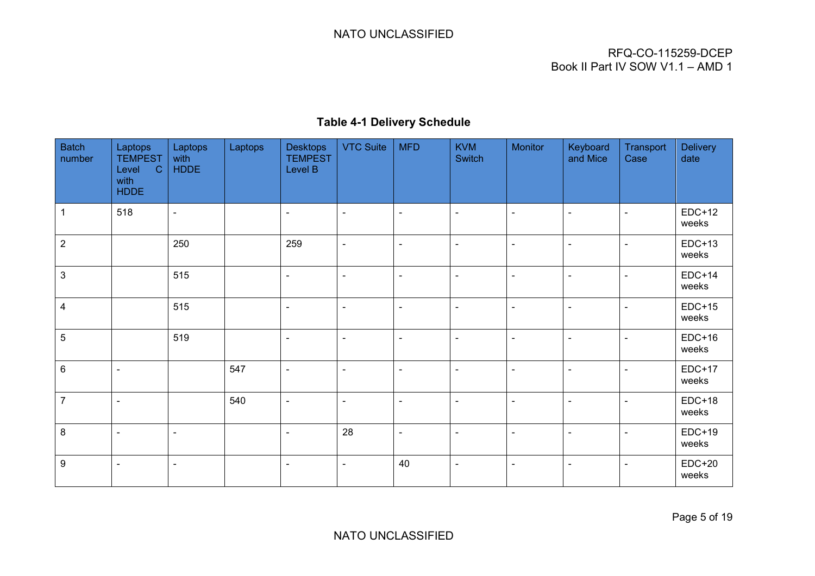# NATO UNCLASSIFIED

# RFQ-CO-115259-DCEP Book II Part IV SOW V1.1 – AMD 1

# **Table 4-1 Delivery Schedule**

<span id="page-34-0"></span>

| <b>Batch</b><br>number    | Laptops<br><b>TEMPEST</b><br>$\mathbf C$<br>Level<br>with<br><b>HDDE</b> | Laptops<br>with<br><b>HDDE</b> | Laptops | <b>Desktops</b><br><b>TEMPEST</b><br>Level B | <b>VTC Suite</b> | <b>MFD</b>               | <b>KVM</b><br>Switch | <b>Monitor</b> | Keyboard<br>and Mice | Transport<br>Case | <b>Delivery</b><br>date |
|---------------------------|--------------------------------------------------------------------------|--------------------------------|---------|----------------------------------------------|------------------|--------------------------|----------------------|----------------|----------------------|-------------------|-------------------------|
| 1                         | 518                                                                      | $\blacksquare$                 |         | $\blacksquare$                               | $\blacksquare$   | $\blacksquare$           | $\blacksquare$       | $\blacksquare$ | $\blacksquare$       | $\blacksquare$    | $EDC+12$<br>weeks       |
| $\overline{2}$            |                                                                          | 250                            |         | 259                                          | $\blacksquare$   | $\blacksquare$           | $\blacksquare$       | $\blacksquare$ | $\blacksquare$       | $\blacksquare$    | $EDC+13$<br>weeks       |
| $\ensuremath{\mathsf{3}}$ |                                                                          | 515                            |         | $\blacksquare$                               | $\blacksquare$   | $\blacksquare$           | $\blacksquare$       | $\blacksquare$ | $\blacksquare$       | $\blacksquare$    | $EDC+14$<br>weeks       |
| $\overline{\mathbf{4}}$   |                                                                          | 515                            |         | $\blacksquare$                               | $\blacksquare$   | $\blacksquare$           | $\blacksquare$       | $\blacksquare$ | $\blacksquare$       | $\blacksquare$    | $EDC+15$<br>weeks       |
| 5                         |                                                                          | 519                            |         | $\blacksquare$                               | $\blacksquare$   | $\blacksquare$           | $\blacksquare$       | $\blacksquare$ | $\blacksquare$       | $\blacksquare$    | $EDC+16$<br>weeks       |
| 6                         | $\sim$                                                                   |                                | 547     | $\blacksquare$                               | $\blacksquare$   | $\blacksquare$           | $\blacksquare$       | $\blacksquare$ | $\blacksquare$       | $\blacksquare$    | $EDC+17$<br>weeks       |
| $\overline{7}$            | $\sim$                                                                   |                                | 540     | $\blacksquare$                               | $\blacksquare$   | $\blacksquare$           | $\blacksquare$       | $\blacksquare$ | $\blacksquare$       | $\blacksquare$    | $EDC+18$<br>weeks       |
| 8                         | $\blacksquare$                                                           | $\blacksquare$                 |         | $\blacksquare$                               | 28               | $\overline{\phantom{a}}$ | $\blacksquare$       | $\blacksquare$ | $\blacksquare$       | $\blacksquare$    | $EDC+19$<br>weeks       |
| $\boldsymbol{9}$          | $\sim$                                                                   | $\blacksquare$                 |         | $\blacksquare$                               | $\blacksquare$   | 40                       | $\blacksquare$       | $\blacksquare$ | $\blacksquare$       | $\blacksquare$    | $EDC+20$<br>weeks       |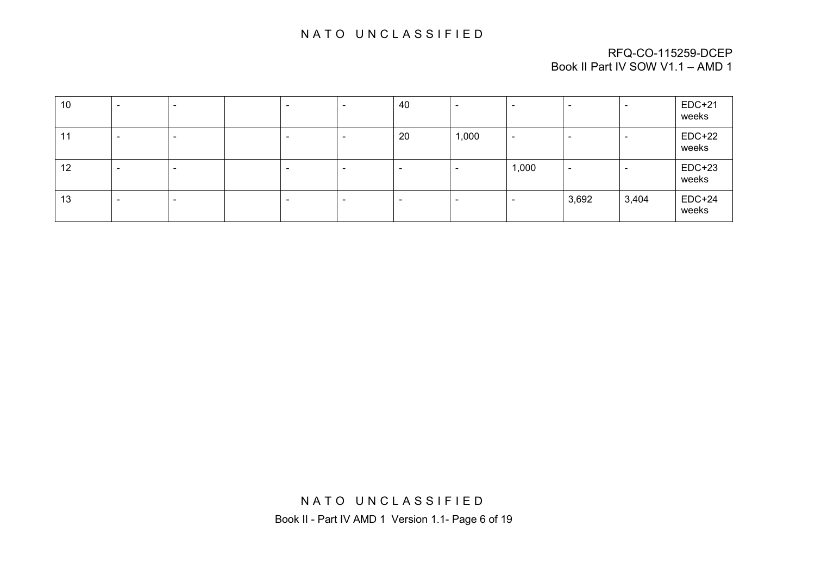# NATO UNCLASSIFIED

#### RFQ-CO-115259-DCEP Book II Part IV SOW V1.1 – AMD 1

| 10 | $\overline{\phantom{a}}$ | $\overline{\phantom{0}}$ | $\overline{\phantom{a}}$ | - | 40                       | $\overline{\phantom{0}}$ | $\overline{\phantom{0}}$ | $\overline{\phantom{0}}$ | $\overline{\phantom{0}}$ | $EDC+21$<br>weeks |
|----|--------------------------|--------------------------|--------------------------|---|--------------------------|--------------------------|--------------------------|--------------------------|--------------------------|-------------------|
| 11 |                          |                          | $\overline{\phantom{0}}$ |   | 20                       | 1,000                    | $\overline{\phantom{0}}$ | -                        | $\overline{\phantom{a}}$ | $EDC+22$<br>weeks |
| 12 | -                        |                          | -                        |   | $\overline{\phantom{0}}$ |                          | 1,000                    |                          |                          | $EDC+23$<br>weeks |
| 13 | $\overline{\phantom{a}}$ | -                        | $\overline{\phantom{0}}$ |   | $\overline{\phantom{0}}$ |                          | $\overline{\phantom{0}}$ | 3,692                    | 3,404                    | $EDC+24$<br>weeks |

NATO UNCLASSIFIED Book II - Part IV AMD 1 Version 1.1- Page 6 of 19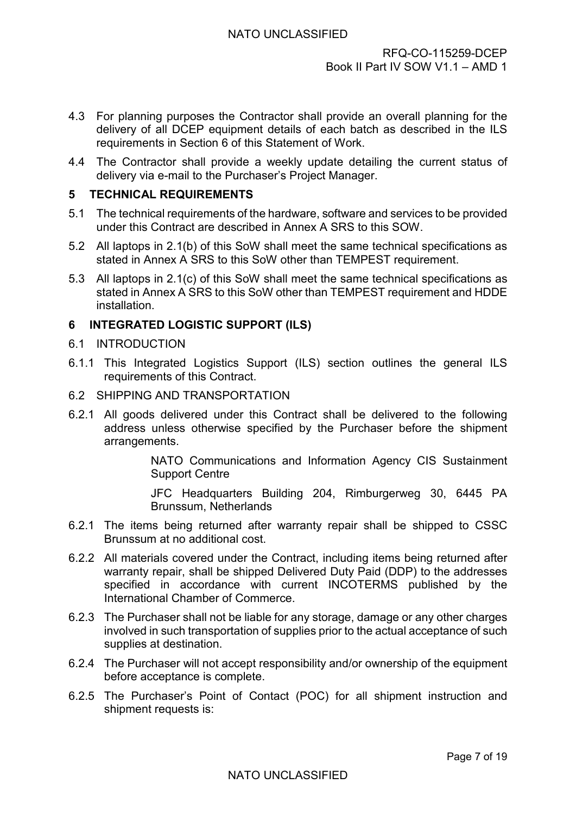- 4.3 For planning purposes the Contractor shall provide an overall planning for the delivery of all DCEP equipment details of each batch as described in the ILS requirements in Section 6 of this Statement of Work.
- 4.4 The Contractor shall provide a weekly update detailing the current status of delivery via e-mail to the Purchaser's Project Manager.

### <span id="page-36-0"></span>**5 TECHNICAL REQUIREMENTS**

- 5.1 The technical requirements of the hardware, software and services to be provided under this Contract are described in Annex A SRS to this SOW.
- 5.2 All laptops in 2.1(b) of this SoW shall meet the same technical specifications as stated in Annex A SRS to this SoW other than TEMPEST requirement.
- 5.3 All laptops in 2.1(c) of this SoW shall meet the same technical specifications as stated in Annex A SRS to this SoW other than TEMPEST requirement and HDDE installation.

# <span id="page-36-1"></span>**6 INTEGRATED LOGISTIC SUPPORT (ILS)**

#### 6.1 INTRODUCTION

- 6.1.1 This Integrated Logistics Support (ILS) section outlines the general ILS requirements of this Contract.
- 6.2 SHIPPING AND TRANSPORTATION
- 6.2.1 All goods delivered under this Contract shall be delivered to the following address unless otherwise specified by the Purchaser before the shipment arrangements.

NATO Communications and Information Agency CIS Sustainment Support Centre

JFC Headquarters Building 204, Rimburgerweg 30, 6445 PA Brunssum, Netherlands

- 6.2.1 The items being returned after warranty repair shall be shipped to CSSC Brunssum at no additional cost.
- 6.2.2 All materials covered under the Contract, including items being returned after warranty repair, shall be shipped Delivered Duty Paid (DDP) to the addresses specified in accordance with current INCOTERMS published by the International Chamber of Commerce.
- 6.2.3 The Purchaser shall not be liable for any storage, damage or any other charges involved in such transportation of supplies prior to the actual acceptance of such supplies at destination.
- 6.2.4 The Purchaser will not accept responsibility and/or ownership of the equipment before acceptance is complete.
- 6.2.5 The Purchaser's Point of Contact (POC) for all shipment instruction and shipment requests is: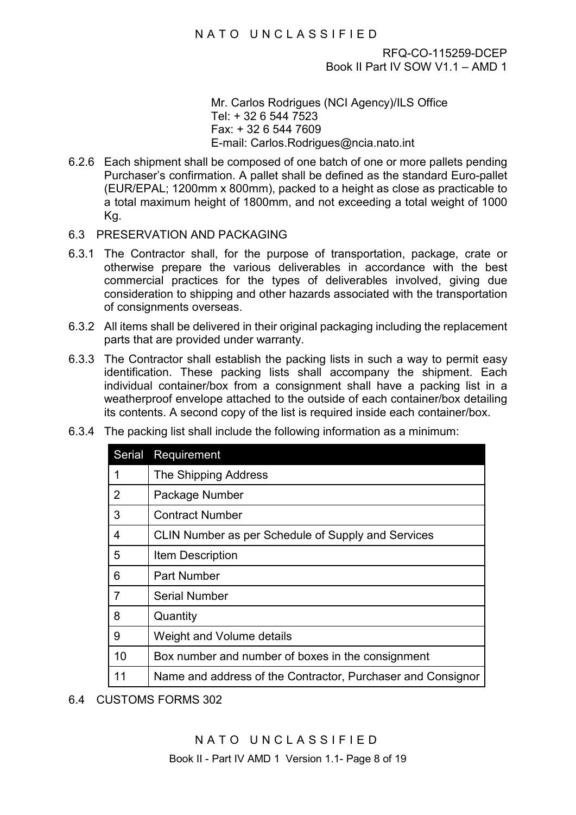Mr. Carlos Rodrigues (NCI Agency)/ILS Office Tel: + 32 6 544 7523 Fax: + 32 6 544 7609 E-mail: Carlos.Rodrigues@ncia.nato.int

- 6.2.6 Each shipment shall be composed of one batch of one or more pallets pending Purchaser's confirmation. A pallet shall be defined as the standard Euro-pallet (EUR/EPAL; 1200mm x 800mm), packed to a height as close as practicable to a total maximum height of 1800mm, and not exceeding a total weight of 1000 Kg.
- 6.3 PRESERVATION AND PACKAGING
- 6.3.1 The Contractor shall, for the purpose of transportation, package, crate or otherwise prepare the various deliverables in accordance with the best commercial practices for the types of deliverables involved, giving due consideration to shipping and other hazards associated with the transportation of consignments overseas.
- 6.3.2 All items shall be delivered in their original packaging including the replacement parts that are provided under warranty.
- 6.3.3 The Contractor shall establish the packing lists in such a way to permit easy identification. These packing lists shall accompany the shipment. Each individual container/box from a consignment shall have a packing list in a weatherproof envelope attached to the outside of each container/box detailing its contents. A second copy of the list is required inside each container/box.

| <b>Serial</b>  | Requirement                                                 |
|----------------|-------------------------------------------------------------|
| 1              | The Shipping Address                                        |
| $\overline{2}$ | Package Number                                              |
| 3              | <b>Contract Number</b>                                      |
| 4              | CLIN Number as per Schedule of Supply and Services          |
| 5              | Item Description                                            |
| 6              | <b>Part Number</b>                                          |
| $\overline{7}$ | <b>Serial Number</b>                                        |
| 8              | Quantity                                                    |
| 9              | Weight and Volume details                                   |
| 10             | Box number and number of boxes in the consignment           |
| 11             | Name and address of the Contractor, Purchaser and Consignor |

6.3.4 The packing list shall include the following information as a minimum:

6.4 CUSTOMS FORMS 302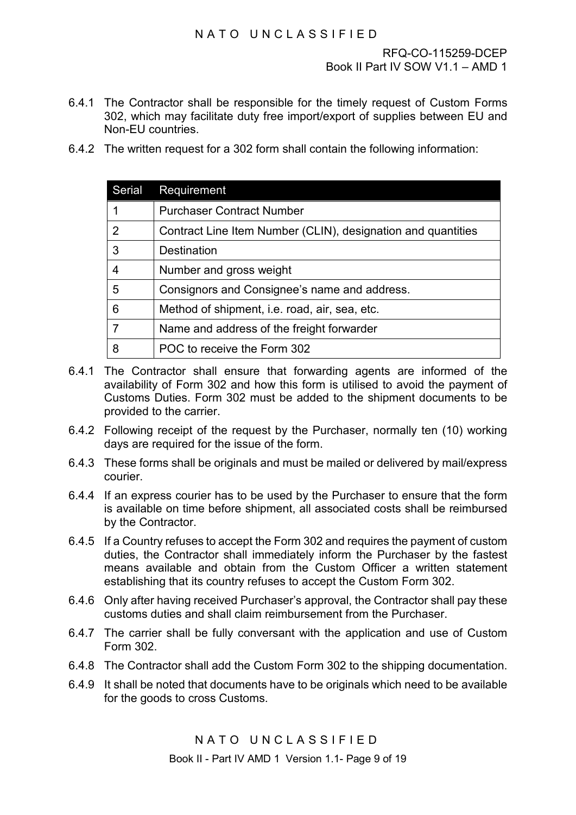- 6.4.1 The Contractor shall be responsible for the timely request of Custom Forms 302, which may facilitate duty free import/export of supplies between EU and Non-EU countries.
- 6.4.2 The written request for a 302 form shall contain the following information:

| Serial | Requirement                                                  |
|--------|--------------------------------------------------------------|
|        | <b>Purchaser Contract Number</b>                             |
| 2      | Contract Line Item Number (CLIN), designation and quantities |
| 3      | Destination                                                  |
|        | Number and gross weight                                      |
| 5      | Consignors and Consignee's name and address.                 |
| 6      | Method of shipment, i.e. road, air, sea, etc.                |
|        | Name and address of the freight forwarder                    |
|        | POC to receive the Form 302                                  |

- 6.4.1 The Contractor shall ensure that forwarding agents are informed of the availability of Form 302 and how this form is utilised to avoid the payment of Customs Duties. Form 302 must be added to the shipment documents to be provided to the carrier.
- 6.4.2 Following receipt of the request by the Purchaser, normally ten (10) working days are required for the issue of the form.
- 6.4.3 These forms shall be originals and must be mailed or delivered by mail/express courier.
- 6.4.4 If an express courier has to be used by the Purchaser to ensure that the form is available on time before shipment, all associated costs shall be reimbursed by the Contractor.
- 6.4.5 If a Country refuses to accept the Form 302 and requires the payment of custom duties, the Contractor shall immediately inform the Purchaser by the fastest means available and obtain from the Custom Officer a written statement establishing that its country refuses to accept the Custom Form 302.
- 6.4.6 Only after having received Purchaser's approval, the Contractor shall pay these customs duties and shall claim reimbursement from the Purchaser.
- 6.4.7 The carrier shall be fully conversant with the application and use of Custom Form 302.
- 6.4.8 The Contractor shall add the Custom Form 302 to the shipping documentation.
- 6.4.9 It shall be noted that documents have to be originals which need to be available for the goods to cross Customs.

NATO UNCLASSIFIED

Book II - Part IV AMD 1 Version 1.1- Page 9 of 19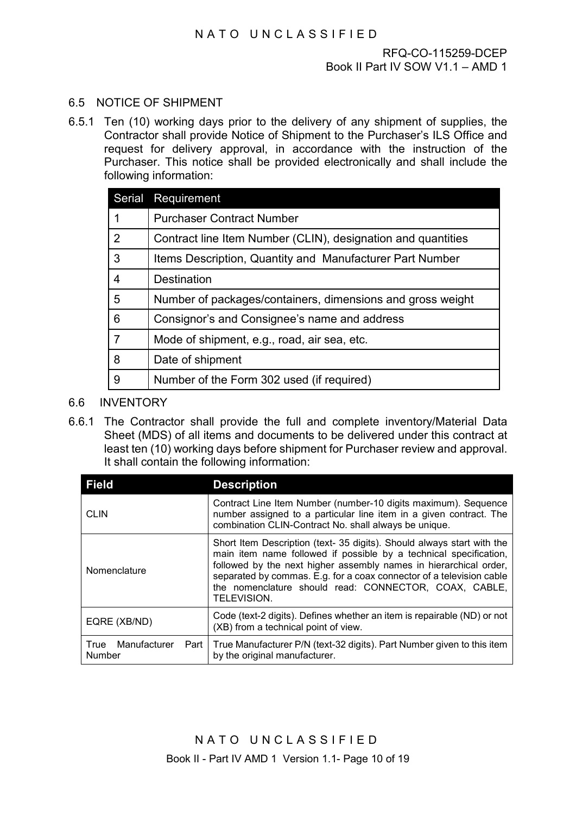# 6.5 NOTICE OF SHIPMENT

6.5.1 Ten (10) working days prior to the delivery of any shipment of supplies, the Contractor shall provide Notice of Shipment to the Purchaser's ILS Office and request for delivery approval, in accordance with the instruction of the Purchaser. This notice shall be provided electronically and shall include the following information:

|   | Serial Requirement                                           |
|---|--------------------------------------------------------------|
|   | <b>Purchaser Contract Number</b>                             |
| 2 | Contract line Item Number (CLIN), designation and quantities |
| 3 | Items Description, Quantity and Manufacturer Part Number     |
| 4 | <b>Destination</b>                                           |
| 5 | Number of packages/containers, dimensions and gross weight   |
| 6 | Consignor's and Consignee's name and address                 |
| 7 | Mode of shipment, e.g., road, air sea, etc.                  |
| 8 | Date of shipment                                             |
| 9 | Number of the Form 302 used (if required)                    |

- 6.6 INVENTORY
- 6.6.1 The Contractor shall provide the full and complete inventory/Material Data Sheet (MDS) of all items and documents to be delivered under this contract at least ten (10) working days before shipment for Purchaser review and approval. It shall contain the following information:

| <b>Field</b>                           | <b>Description</b>                                                                                                                                                                                                                                                                                                                                                      |
|----------------------------------------|-------------------------------------------------------------------------------------------------------------------------------------------------------------------------------------------------------------------------------------------------------------------------------------------------------------------------------------------------------------------------|
| <b>CLIN</b>                            | Contract Line Item Number (number-10 digits maximum). Sequence<br>number assigned to a particular line item in a given contract. The<br>combination CLIN-Contract No. shall always be unique.                                                                                                                                                                           |
| Nomenclature                           | Short Item Description (text- 35 digits). Should always start with the<br>main item name followed if possible by a technical specification,<br>followed by the next higher assembly names in hierarchical order,<br>separated by commas. E.g. for a coax connector of a television cable<br>the nomenclature should read: CONNECTOR, COAX, CABLE,<br><b>TELEVISION.</b> |
| EQRE (XB/ND)                           | Code (text-2 digits). Defines whether an item is repairable (ND) or not<br>(XB) from a technical point of view.                                                                                                                                                                                                                                                         |
| Manufacturer<br>True<br>Part<br>Number | True Manufacturer P/N (text-32 digits). Part Number given to this item<br>by the original manufacturer.                                                                                                                                                                                                                                                                 |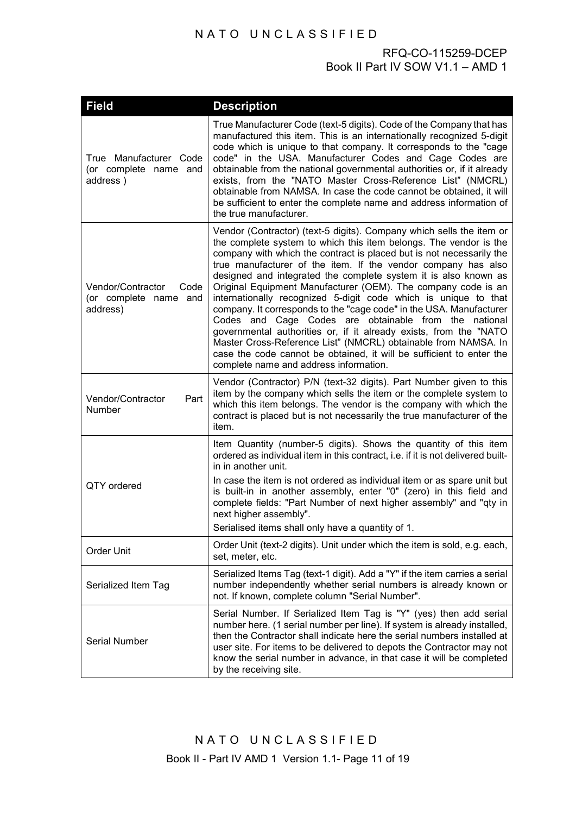| <b>Field</b>                                                      | <b>Description</b>                                                                                                                                                                                                                                                                                                                                                                                                                                                                                                                                                                                                                                                                                                                                                                                                                                                                 |
|-------------------------------------------------------------------|------------------------------------------------------------------------------------------------------------------------------------------------------------------------------------------------------------------------------------------------------------------------------------------------------------------------------------------------------------------------------------------------------------------------------------------------------------------------------------------------------------------------------------------------------------------------------------------------------------------------------------------------------------------------------------------------------------------------------------------------------------------------------------------------------------------------------------------------------------------------------------|
| True Manufacturer Code<br>(or complete name and<br>address)       | True Manufacturer Code (text-5 digits). Code of the Company that has<br>manufactured this item. This is an internationally recognized 5-digit<br>code which is unique to that company. It corresponds to the "cage<br>code" in the USA. Manufacturer Codes and Cage Codes are<br>obtainable from the national governmental authorities or, if it already<br>exists, from the "NATO Master Cross-Reference List" (NMCRL)<br>obtainable from NAMSA. In case the code cannot be obtained, it will<br>be sufficient to enter the complete name and address information of<br>the true manufacturer.                                                                                                                                                                                                                                                                                    |
| Vendor/Contractor<br>Code<br>(or complete name<br>and<br>address) | Vendor (Contractor) (text-5 digits). Company which sells the item or<br>the complete system to which this item belongs. The vendor is the<br>company with which the contract is placed but is not necessarily the<br>true manufacturer of the item. If the vendor company has also<br>designed and integrated the complete system it is also known as<br>Original Equipment Manufacturer (OEM). The company code is an<br>internationally recognized 5-digit code which is unique to that<br>company. It corresponds to the "cage code" in the USA. Manufacturer<br>Codes and Cage Codes are obtainable from the national<br>governmental authorities or, if it already exists, from the "NATO<br>Master Cross-Reference List" (NMCRL) obtainable from NAMSA. In<br>case the code cannot be obtained, it will be sufficient to enter the<br>complete name and address information. |
| Vendor/Contractor<br>Part<br>Number                               | Vendor (Contractor) P/N (text-32 digits). Part Number given to this<br>item by the company which sells the item or the complete system to<br>which this item belongs. The vendor is the company with which the<br>contract is placed but is not necessarily the true manufacturer of the<br>item.                                                                                                                                                                                                                                                                                                                                                                                                                                                                                                                                                                                  |
| QTY ordered                                                       | Item Quantity (number-5 digits). Shows the quantity of this item<br>ordered as individual item in this contract, i.e. if it is not delivered built-<br>in in another unit.<br>In case the item is not ordered as individual item or as spare unit but<br>is built-in in another assembly, enter "0" (zero) in this field and<br>complete fields: "Part Number of next higher assembly" and "qty in<br>next higher assembly".<br>Serialised items shall only have a quantity of 1.                                                                                                                                                                                                                                                                                                                                                                                                  |
| Order Unit                                                        | Order Unit (text-2 digits). Unit under which the item is sold, e.g. each,<br>set, meter, etc.                                                                                                                                                                                                                                                                                                                                                                                                                                                                                                                                                                                                                                                                                                                                                                                      |
| Serialized Item Tag                                               | Serialized Items Tag (text-1 digit). Add a "Y" if the item carries a serial<br>number independently whether serial numbers is already known or<br>not. If known, complete column "Serial Number".                                                                                                                                                                                                                                                                                                                                                                                                                                                                                                                                                                                                                                                                                  |
| <b>Serial Number</b>                                              | Serial Number. If Serialized Item Tag is "Y" (yes) then add serial<br>number here. (1 serial number per line). If system is already installed,<br>then the Contractor shall indicate here the serial numbers installed at<br>user site. For items to be delivered to depots the Contractor may not<br>know the serial number in advance, in that case it will be completed<br>by the receiving site.                                                                                                                                                                                                                                                                                                                                                                                                                                                                               |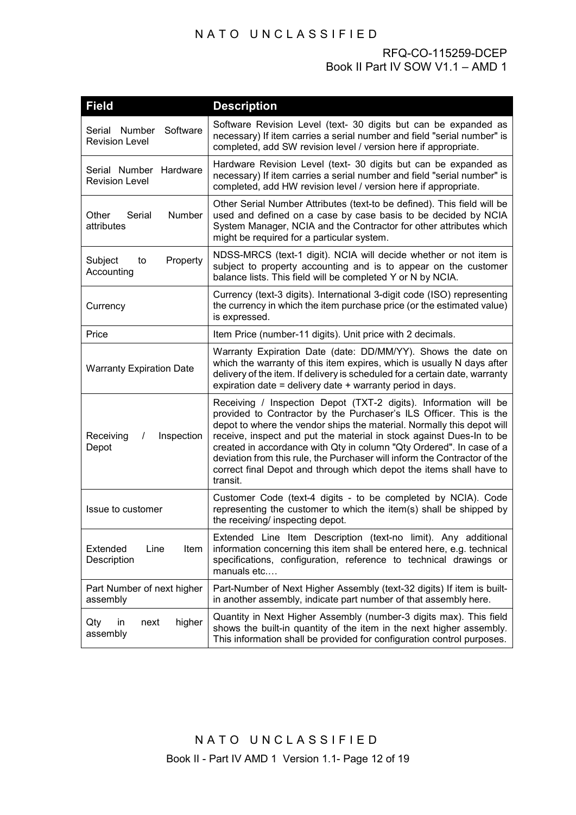| <b>Field</b>                                       | <b>Description</b>                                                                                                                                                                                                                                                                                                                                                                                                                                                                                                               |
|----------------------------------------------------|----------------------------------------------------------------------------------------------------------------------------------------------------------------------------------------------------------------------------------------------------------------------------------------------------------------------------------------------------------------------------------------------------------------------------------------------------------------------------------------------------------------------------------|
| Serial Number<br>Software<br><b>Revision Level</b> | Software Revision Level (text- 30 digits but can be expanded as<br>necessary) If item carries a serial number and field "serial number" is<br>completed, add SW revision level / version here if appropriate.                                                                                                                                                                                                                                                                                                                    |
| Serial Number Hardware<br><b>Revision Level</b>    | Hardware Revision Level (text- 30 digits but can be expanded as<br>necessary) If item carries a serial number and field "serial number" is<br>completed, add HW revision level / version here if appropriate.                                                                                                                                                                                                                                                                                                                    |
| Number<br>Other<br>Serial<br>attributes            | Other Serial Number Attributes (text-to be defined). This field will be<br>used and defined on a case by case basis to be decided by NCIA<br>System Manager, NCIA and the Contractor for other attributes which<br>might be required for a particular system.                                                                                                                                                                                                                                                                    |
| Property<br>Subject<br>to<br>Accounting            | NDSS-MRCS (text-1 digit). NCIA will decide whether or not item is<br>subject to property accounting and is to appear on the customer<br>balance lists. This field will be completed Y or N by NCIA.                                                                                                                                                                                                                                                                                                                              |
| Currency                                           | Currency (text-3 digits). International 3-digit code (ISO) representing<br>the currency in which the item purchase price (or the estimated value)<br>is expressed.                                                                                                                                                                                                                                                                                                                                                               |
| Price                                              | Item Price (number-11 digits). Unit price with 2 decimals.                                                                                                                                                                                                                                                                                                                                                                                                                                                                       |
| <b>Warranty Expiration Date</b>                    | Warranty Expiration Date (date: DD/MM/YY). Shows the date on<br>which the warranty of this item expires, which is usually N days after<br>delivery of the item. If delivery is scheduled for a certain date, warranty<br>expiration date = delivery date + warranty period in days.                                                                                                                                                                                                                                              |
| Receiving<br>Inspection<br>$\prime$<br>Depot       | Receiving / Inspection Depot (TXT-2 digits). Information will be<br>provided to Contractor by the Purchaser's ILS Officer. This is the<br>depot to where the vendor ships the material. Normally this depot will<br>receive, inspect and put the material in stock against Dues-In to be<br>created in accordance with Qty in column "Qty Ordered". In case of a<br>deviation from this rule, the Purchaser will inform the Contractor of the<br>correct final Depot and through which depot the items shall have to<br>transit. |
| Issue to customer                                  | Customer Code (text-4 digits - to be completed by NCIA). Code<br>representing the customer to which the item(s) shall be shipped by<br>the receiving/ inspecting depot.                                                                                                                                                                                                                                                                                                                                                          |
| Extended<br>Item<br>Line<br>Description            | Extended Line Item Description (text-no limit). Any additional<br>information concerning this item shall be entered here, e.g. technical<br>specifications, configuration, reference to technical drawings or<br>manuals etc                                                                                                                                                                                                                                                                                                     |
| Part Number of next higher<br>assembly             | Part-Number of Next Higher Assembly (text-32 digits) If item is built-<br>in another assembly, indicate part number of that assembly here.                                                                                                                                                                                                                                                                                                                                                                                       |
| higher<br>in<br>next<br>Qty<br>assembly            | Quantity in Next Higher Assembly (number-3 digits max). This field<br>shows the built-in quantity of the item in the next higher assembly.<br>This information shall be provided for configuration control purposes.                                                                                                                                                                                                                                                                                                             |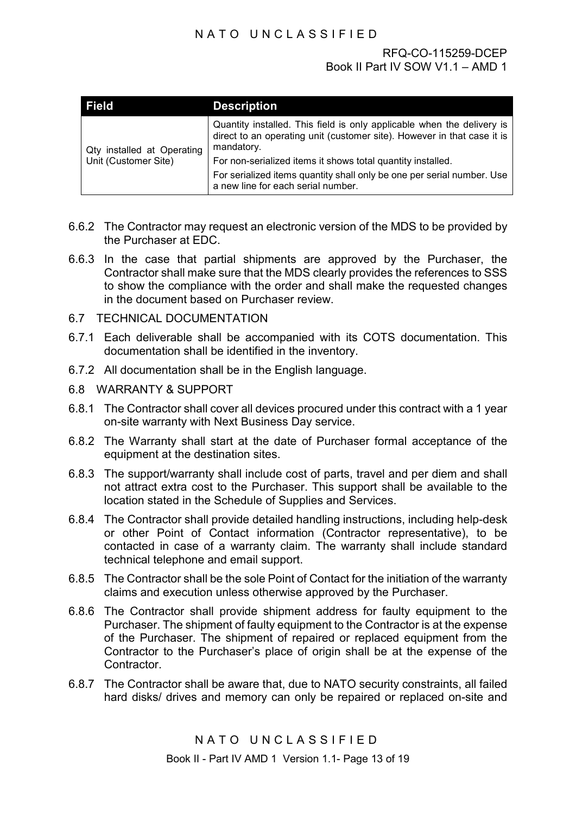| <b>Field</b>                                       | <b>Description</b>                                                                                                                                              |
|----------------------------------------------------|-----------------------------------------------------------------------------------------------------------------------------------------------------------------|
| Qty installed at Operating<br>Unit (Customer Site) | Quantity installed. This field is only applicable when the delivery is<br>direct to an operating unit (customer site). However in that case it is<br>mandatory. |
|                                                    | For non-serialized items it shows total quantity installed.                                                                                                     |
|                                                    | For serialized items quantity shall only be one per serial number. Use<br>a new line for each serial number.                                                    |

- 6.6.2 The Contractor may request an electronic version of the MDS to be provided by the Purchaser at EDC.
- 6.6.3 In the case that partial shipments are approved by the Purchaser, the Contractor shall make sure that the MDS clearly provides the references to SSS to show the compliance with the order and shall make the requested changes in the document based on Purchaser review.
- 6.7 TECHNICAL DOCUMENTATION
- 6.7.1 Each deliverable shall be accompanied with its COTS documentation. This documentation shall be identified in the inventory.
- 6.7.2 All documentation shall be in the English language.
- 6.8 WARRANTY & SUPPORT
- 6.8.1 The Contractor shall cover all devices procured under this contract with a 1 year on-site warranty with Next Business Day service.
- 6.8.2 The Warranty shall start at the date of Purchaser formal acceptance of the equipment at the destination sites.
- 6.8.3 The support/warranty shall include cost of parts, travel and per diem and shall not attract extra cost to the Purchaser. This support shall be available to the location stated in the Schedule of Supplies and Services.
- 6.8.4 The Contractor shall provide detailed handling instructions, including help-desk or other Point of Contact information (Contractor representative), to be contacted in case of a warranty claim. The warranty shall include standard technical telephone and email support.
- 6.8.5 The Contractor shall be the sole Point of Contact for the initiation of the warranty claims and execution unless otherwise approved by the Purchaser.
- 6.8.6 The Contractor shall provide shipment address for faulty equipment to the Purchaser. The shipment of faulty equipment to the Contractor is at the expense of the Purchaser. The shipment of repaired or replaced equipment from the Contractor to the Purchaser's place of origin shall be at the expense of the **Contractor**
- 6.8.7 The Contractor shall be aware that, due to NATO security constraints, all failed hard disks/ drives and memory can only be repaired or replaced on-site and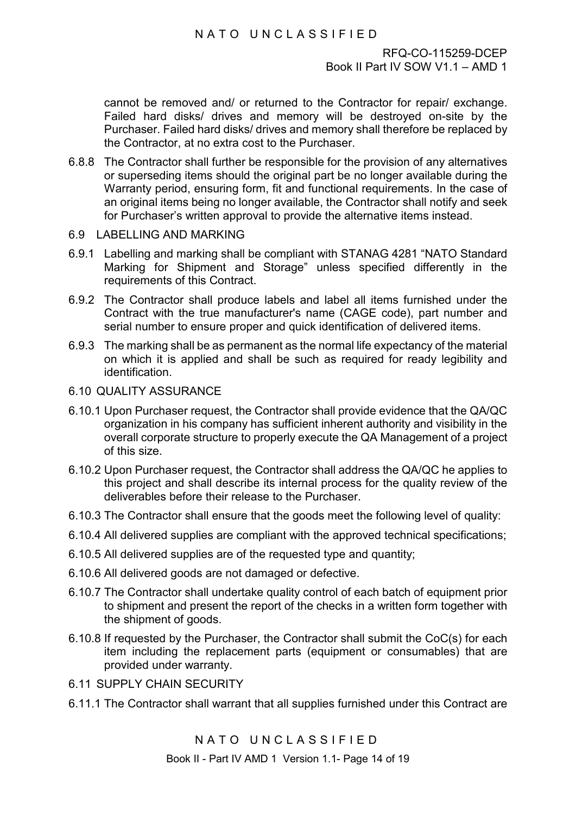cannot be removed and/ or returned to the Contractor for repair/ exchange. Failed hard disks/ drives and memory will be destroyed on-site by the Purchaser. Failed hard disks/ drives and memory shall therefore be replaced by the Contractor, at no extra cost to the Purchaser.

- 6.8.8 The Contractor shall further be responsible for the provision of any alternatives or superseding items should the original part be no longer available during the Warranty period, ensuring form, fit and functional requirements. In the case of an original items being no longer available, the Contractor shall notify and seek for Purchaser's written approval to provide the alternative items instead.
- 6.9 LABELLING AND MARKING
- 6.9.1 Labelling and marking shall be compliant with STANAG 4281 "NATO Standard Marking for Shipment and Storage" unless specified differently in the requirements of this Contract.
- 6.9.2 The Contractor shall produce labels and label all items furnished under the Contract with the true manufacturer's name (CAGE code), part number and serial number to ensure proper and quick identification of delivered items.
- 6.9.3 The marking shall be as permanent as the normal life expectancy of the material on which it is applied and shall be such as required for ready legibility and identification.
- 6.10 QUALITY ASSURANCE
- 6.10.1 Upon Purchaser request, the Contractor shall provide evidence that the QA/QC organization in his company has sufficient inherent authority and visibility in the overall corporate structure to properly execute the QA Management of a project of this size.
- 6.10.2 Upon Purchaser request, the Contractor shall address the QA/QC he applies to this project and shall describe its internal process for the quality review of the deliverables before their release to the Purchaser.
- 6.10.3 The Contractor shall ensure that the goods meet the following level of quality:
- 6.10.4 All delivered supplies are compliant with the approved technical specifications;
- 6.10.5 All delivered supplies are of the requested type and quantity;
- 6.10.6 All delivered goods are not damaged or defective.
- 6.10.7 The Contractor shall undertake quality control of each batch of equipment prior to shipment and present the report of the checks in a written form together with the shipment of goods.
- 6.10.8 If requested by the Purchaser, the Contractor shall submit the CoC(s) for each item including the replacement parts (equipment or consumables) that are provided under warranty.
- 6.11 SUPPLY CHAIN SECURITY
- 6.11.1 The Contractor shall warrant that all supplies furnished under this Contract are

NATO UNCLASSIFIED

Book II - Part IV AMD 1 Version 1.1- Page 14 of 19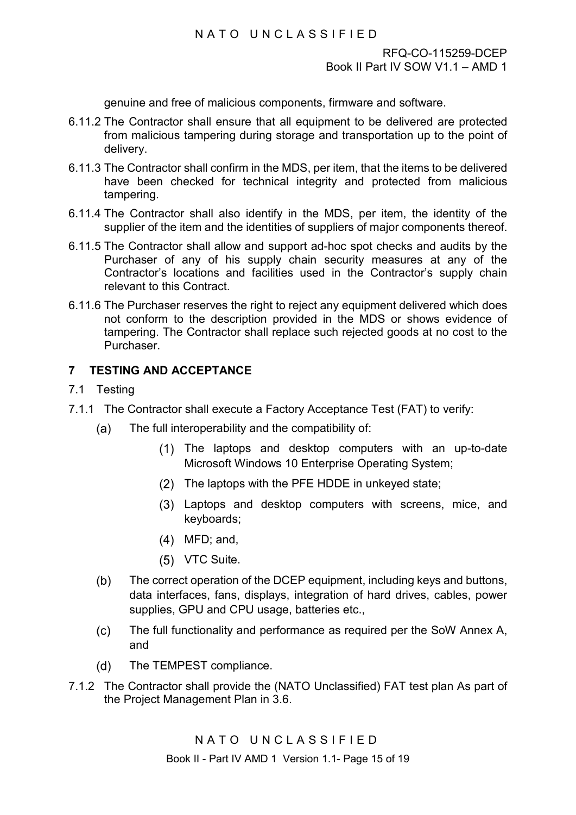genuine and free of malicious components, firmware and software.

- 6.11.2 The Contractor shall ensure that all equipment to be delivered are protected from malicious tampering during storage and transportation up to the point of delivery.
- 6.11.3 The Contractor shall confirm in the MDS, per item, that the items to be delivered have been checked for technical integrity and protected from malicious tampering.
- 6.11.4 The Contractor shall also identify in the MDS, per item, the identity of the supplier of the item and the identities of suppliers of major components thereof.
- 6.11.5 The Contractor shall allow and support ad-hoc spot checks and audits by the Purchaser of any of his supply chain security measures at any of the Contractor's locations and facilities used in the Contractor's supply chain relevant to this Contract.
- 6.11.6 The Purchaser reserves the right to reject any equipment delivered which does not conform to the description provided in the MDS or shows evidence of tampering. The Contractor shall replace such rejected goods at no cost to the **Purchaser**

# **7 TESTING AND ACCEPTANCE**

#### <span id="page-44-0"></span>7.1 Testing

- 7.1.1 The Contractor shall execute a Factory Acceptance Test (FAT) to verify:
	- $(a)$ The full interoperability and the compatibility of:
		- The laptops and desktop computers with an up-to-date Microsoft Windows 10 Enterprise Operating System;
		- (2) The laptops with the PFE HDDE in unkeyed state;
		- Laptops and desktop computers with screens, mice, and keyboards;
		- MFD; and,
		- (5) VTC Suite.
	- The correct operation of the DCEP equipment, including keys and buttons,  $(b)$ data interfaces, fans, displays, integration of hard drives, cables, power supplies, GPU and CPU usage, batteries etc.,
	- $(c)$ The full functionality and performance as required per the SoW Annex A, and
	- The TEMPEST compliance.  $(d)$
- 7.1.2 The Contractor shall provide the (NATO Unclassified) FAT test plan As part of the Project Management Plan in 3.6.

Book II - Part IV AMD 1 Version 1.1- Page 15 of 19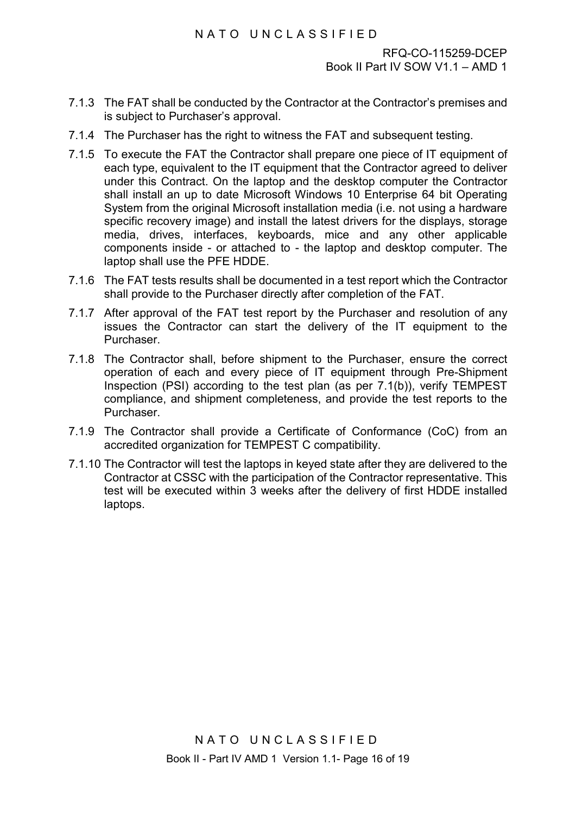- 7.1.3 The FAT shall be conducted by the Contractor at the Contractor's premises and is subject to Purchaser's approval.
- 7.1.4 The Purchaser has the right to witness the FAT and subsequent testing.
- 7.1.5 To execute the FAT the Contractor shall prepare one piece of IT equipment of each type, equivalent to the IT equipment that the Contractor agreed to deliver under this Contract. On the laptop and the desktop computer the Contractor shall install an up to date Microsoft Windows 10 Enterprise 64 bit Operating System from the original Microsoft installation media (i.e. not using a hardware specific recovery image) and install the latest drivers for the displays, storage media, drives, interfaces, keyboards, mice and any other applicable components inside - or attached to - the laptop and desktop computer. The laptop shall use the PFE HDDE.
- 7.1.6 The FAT tests results shall be documented in a test report which the Contractor shall provide to the Purchaser directly after completion of the FAT.
- 7.1.7 After approval of the FAT test report by the Purchaser and resolution of any issues the Contractor can start the delivery of the IT equipment to the Purchaser.
- 7.1.8 The Contractor shall, before shipment to the Purchaser, ensure the correct operation of each and every piece of IT equipment through Pre-Shipment Inspection (PSI) according to the test plan (as per [7.1\(b\)\)](#page-44-0), verify TEMPEST compliance, and shipment completeness, and provide the test reports to the Purchaser.
- 7.1.9 The Contractor shall provide a Certificate of Conformance (CoC) from an accredited organization for TEMPEST C compatibility.
- 7.1.10 The Contractor will test the laptops in keyed state after they are delivered to the Contractor at CSSC with the participation of the Contractor representative. This test will be executed within 3 weeks after the delivery of first HDDE installed laptops.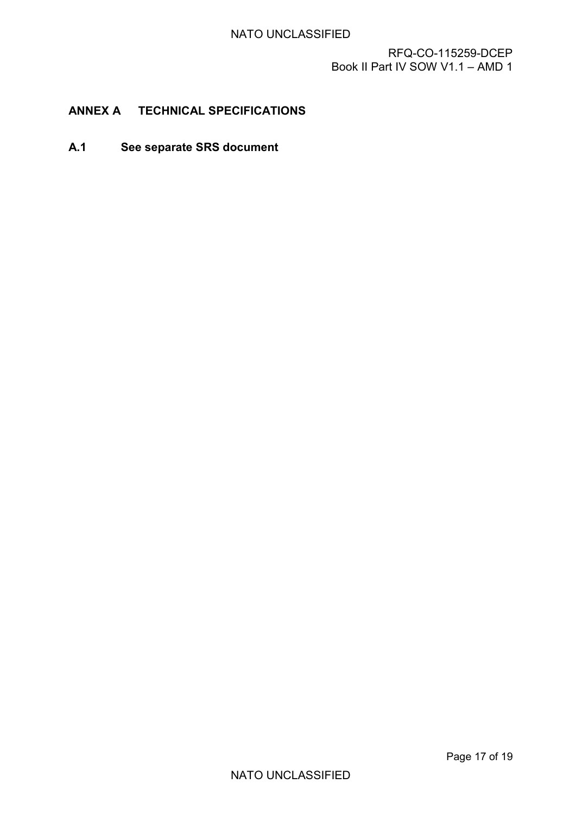# <span id="page-46-0"></span>**ANNEX A TECHNICAL SPECIFICATIONS**

**A.1 See separate SRS document**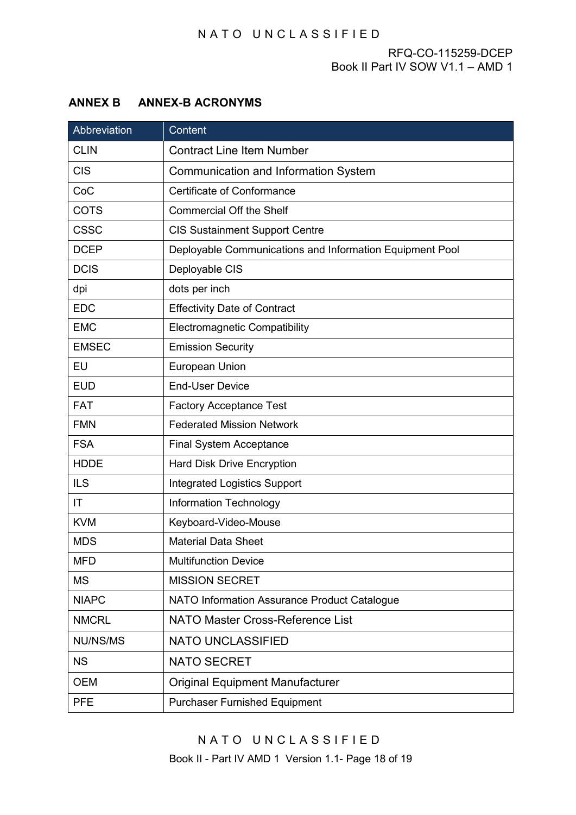# <span id="page-47-0"></span>**ANNEX B ANNEX-B ACRONYMS**

| Abbreviation | Content                                                  |
|--------------|----------------------------------------------------------|
| <b>CLIN</b>  | <b>Contract Line Item Number</b>                         |
| <b>CIS</b>   | <b>Communication and Information System</b>              |
| CoC          | <b>Certificate of Conformance</b>                        |
| <b>COTS</b>  | <b>Commercial Off the Shelf</b>                          |
| <b>CSSC</b>  | <b>CIS Sustainment Support Centre</b>                    |
| <b>DCEP</b>  | Deployable Communications and Information Equipment Pool |
| <b>DCIS</b>  | Deployable CIS                                           |
| dpi          | dots per inch                                            |
| <b>EDC</b>   | <b>Effectivity Date of Contract</b>                      |
| <b>EMC</b>   | <b>Electromagnetic Compatibility</b>                     |
| <b>EMSEC</b> | <b>Emission Security</b>                                 |
| EU           | European Union                                           |
| <b>EUD</b>   | <b>End-User Device</b>                                   |
| <b>FAT</b>   | <b>Factory Acceptance Test</b>                           |
| <b>FMN</b>   | <b>Federated Mission Network</b>                         |
| <b>FSA</b>   | <b>Final System Acceptance</b>                           |
| <b>HDDE</b>  | <b>Hard Disk Drive Encryption</b>                        |
| <b>ILS</b>   | <b>Integrated Logistics Support</b>                      |
| IT           | <b>Information Technology</b>                            |
| <b>KVM</b>   | Keyboard-Video-Mouse                                     |
| <b>MDS</b>   | <b>Material Data Sheet</b>                               |
| <b>MFD</b>   | <b>Multifunction Device</b>                              |
| <b>MS</b>    | <b>MISSION SECRET</b>                                    |
| <b>NIAPC</b> | NATO Information Assurance Product Catalogue             |
| <b>NMCRL</b> | <b>NATO Master Cross-Reference List</b>                  |
| NU/NS/MS     | <b>NATO UNCLASSIFIED</b>                                 |
| <b>NS</b>    | <b>NATO SECRET</b>                                       |
| <b>OEM</b>   | <b>Original Equipment Manufacturer</b>                   |
| <b>PFE</b>   | <b>Purchaser Furnished Equipment</b>                     |

NATO UNCLASSIFIED Book II - Part IV AMD 1 Version 1.1- Page 18 of 19